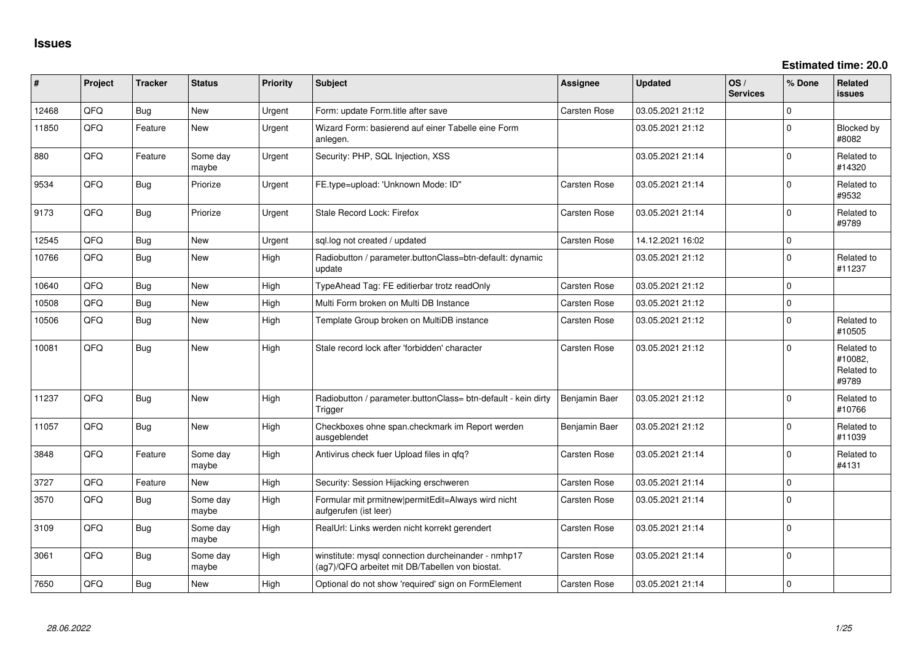**Estimated time: 20.0**

| ∦     | Project | <b>Tracker</b> | <b>Status</b>     | <b>Priority</b> | <b>Subject</b>                                                                                         | <b>Assignee</b>     | <b>Updated</b>   | OS/<br><b>Services</b> | % Done      | Related<br>issues                            |
|-------|---------|----------------|-------------------|-----------------|--------------------------------------------------------------------------------------------------------|---------------------|------------------|------------------------|-------------|----------------------------------------------|
| 12468 | QFQ     | Bug            | New               | Urgent          | Form: update Form.title after save                                                                     | Carsten Rose        | 03.05.2021 21:12 |                        | $\Omega$    |                                              |
| 11850 | QFQ     | Feature        | <b>New</b>        | Urgent          | Wizard Form: basierend auf einer Tabelle eine Form<br>anlegen.                                         |                     | 03.05.2021 21:12 |                        | $\Omega$    | Blocked by<br>#8082                          |
| 880   | QFQ     | Feature        | Some day<br>maybe | Urgent          | Security: PHP, SQL Injection, XSS                                                                      |                     | 03.05.2021 21:14 |                        | $\Omega$    | Related to<br>#14320                         |
| 9534  | QFQ     | <b>Bug</b>     | Priorize          | Urgent          | FE.type=upload: 'Unknown Mode: ID"                                                                     | Carsten Rose        | 03.05.2021 21:14 |                        | $\Omega$    | Related to<br>#9532                          |
| 9173  | QFQ     | Bug            | Priorize          | Urgent          | Stale Record Lock: Firefox                                                                             | Carsten Rose        | 03.05.2021 21:14 |                        | $\Omega$    | Related to<br>#9789                          |
| 12545 | QFQ     | Bug            | <b>New</b>        | Urgent          | sql.log not created / updated                                                                          | <b>Carsten Rose</b> | 14.12.2021 16:02 |                        | $\mathbf 0$ |                                              |
| 10766 | QFQ     | <b>Bug</b>     | New               | High            | Radiobutton / parameter.buttonClass=btn-default: dynamic<br>update                                     |                     | 03.05.2021 21:12 |                        | $\Omega$    | Related to<br>#11237                         |
| 10640 | QFQ     | Bug            | <b>New</b>        | High            | TypeAhead Tag: FE editierbar trotz readOnly                                                            | <b>Carsten Rose</b> | 03.05.2021 21:12 |                        | $\Omega$    |                                              |
| 10508 | QFQ     | <b>Bug</b>     | New               | High            | Multi Form broken on Multi DB Instance                                                                 | Carsten Rose        | 03.05.2021 21:12 |                        | $\Omega$    |                                              |
| 10506 | QFQ     | Bug            | New               | High            | Template Group broken on MultiDB instance                                                              | Carsten Rose        | 03.05.2021 21:12 |                        | $\Omega$    | Related to<br>#10505                         |
| 10081 | QFQ     | Bug            | New               | High            | Stale record lock after 'forbidden' character                                                          | Carsten Rose        | 03.05.2021 21:12 |                        | $\Omega$    | Related to<br>#10082,<br>Related to<br>#9789 |
| 11237 | QFQ     | <b>Bug</b>     | New               | High            | Radiobutton / parameter.buttonClass= btn-default - kein dirty<br>Trigger                               | Benjamin Baer       | 03.05.2021 21:12 |                        | $\Omega$    | Related to<br>#10766                         |
| 11057 | QFQ     | <b>Bug</b>     | <b>New</b>        | High            | Checkboxes ohne span.checkmark im Report werden<br>ausgeblendet                                        | Benjamin Baer       | 03.05.2021 21:12 |                        | $\Omega$    | Related to<br>#11039                         |
| 3848  | QFQ     | Feature        | Some day<br>maybe | High            | Antivirus check fuer Upload files in qfq?                                                              | Carsten Rose        | 03.05.2021 21:14 |                        | $\Omega$    | Related to<br>#4131                          |
| 3727  | QFQ     | Feature        | New               | High            | Security: Session Hijacking erschweren                                                                 | Carsten Rose        | 03.05.2021 21:14 |                        | $\mathbf 0$ |                                              |
| 3570  | QFQ     | Bug            | Some day<br>maybe | High            | Formular mit prmitnew permitEdit=Always wird nicht<br>aufgerufen (ist leer)                            | Carsten Rose        | 03.05.2021 21:14 |                        | 0           |                                              |
| 3109  | QFQ     | Bug            | Some day<br>maybe | High            | RealUrl: Links werden nicht korrekt gerendert                                                          | <b>Carsten Rose</b> | 03.05.2021 21:14 |                        | $\Omega$    |                                              |
| 3061  | QFQ     | <b>Bug</b>     | Some day<br>maybe | High            | winstitute: mysql connection durcheinander - nmhp17<br>(ag7)/QFQ arbeitet mit DB/Tabellen von biostat. | Carsten Rose        | 03.05.2021 21:14 |                        | $\Omega$    |                                              |
| 7650  | QFQ     | <b>Bug</b>     | <b>New</b>        | High            | Optional do not show 'required' sign on FormElement                                                    | Carsten Rose        | 03.05.2021 21:14 |                        | $\Omega$    |                                              |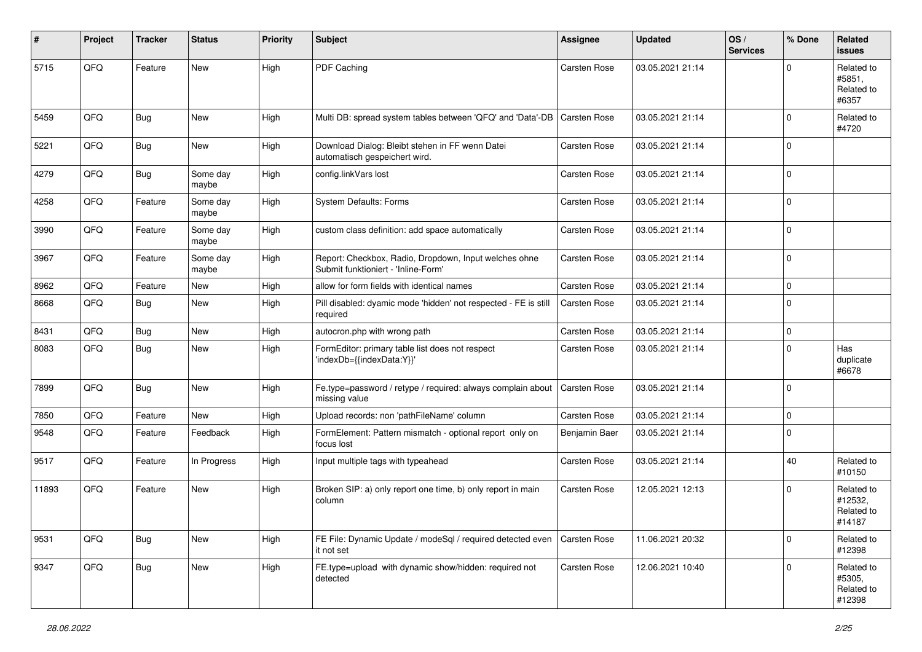| ∦     | Project | <b>Tracker</b> | <b>Status</b>     | <b>Priority</b> | <b>Subject</b>                                                                               | Assignee            | <b>Updated</b>   | OS/<br><b>Services</b> | % Done      | Related<br>issues                             |
|-------|---------|----------------|-------------------|-----------------|----------------------------------------------------------------------------------------------|---------------------|------------------|------------------------|-------------|-----------------------------------------------|
| 5715  | QFQ     | Feature        | New               | High            | PDF Caching                                                                                  | <b>Carsten Rose</b> | 03.05.2021 21:14 |                        | $\Omega$    | Related to<br>#5851,<br>Related to<br>#6357   |
| 5459  | QFQ     | <b>Bug</b>     | New               | High            | Multi DB: spread system tables between 'QFQ' and 'Data'-DB                                   | <b>Carsten Rose</b> | 03.05.2021 21:14 |                        | $\Omega$    | Related to<br>#4720                           |
| 5221  | QFQ     | <b>Bug</b>     | New               | High            | Download Dialog: Bleibt stehen in FF wenn Datei<br>automatisch gespeichert wird.             | <b>Carsten Rose</b> | 03.05.2021 21:14 |                        | $\Omega$    |                                               |
| 4279  | QFQ     | <b>Bug</b>     | Some day<br>maybe | High            | config.linkVars lost                                                                         | <b>Carsten Rose</b> | 03.05.2021 21:14 |                        | $\Omega$    |                                               |
| 4258  | QFQ     | Feature        | Some day<br>maybe | High            | System Defaults: Forms                                                                       | <b>Carsten Rose</b> | 03.05.2021 21:14 |                        | $\Omega$    |                                               |
| 3990  | QFQ     | Feature        | Some day<br>maybe | High            | custom class definition: add space automatically                                             | Carsten Rose        | 03.05.2021 21:14 |                        | $\Omega$    |                                               |
| 3967  | QFQ     | Feature        | Some day<br>maybe | High            | Report: Checkbox, Radio, Dropdown, Input welches ohne<br>Submit funktioniert - 'Inline-Form' | Carsten Rose        | 03.05.2021 21:14 |                        | $\mathbf 0$ |                                               |
| 8962  | QFQ     | Feature        | New               | High            | allow for form fields with identical names                                                   | <b>Carsten Rose</b> | 03.05.2021 21:14 |                        | $\mathbf 0$ |                                               |
| 8668  | QFQ     | <b>Bug</b>     | New               | High            | Pill disabled: dyamic mode 'hidden' not respected - FE is still<br>required                  | Carsten Rose        | 03.05.2021 21:14 |                        | $\Omega$    |                                               |
| 8431  | QFQ     | <b>Bug</b>     | New               | High            | autocron.php with wrong path                                                                 | <b>Carsten Rose</b> | 03.05.2021 21:14 |                        | 0           |                                               |
| 8083  | QFQ     | Bug            | New               | High            | FormEditor: primary table list does not respect<br>'indexDb={{indexData:Y}}'                 | Carsten Rose        | 03.05.2021 21:14 |                        | $\Omega$    | Has<br>duplicate<br>#6678                     |
| 7899  | QFQ     | Bug            | New               | High            | Fe.type=password / retype / required: always complain about<br>missing value                 | <b>Carsten Rose</b> | 03.05.2021 21:14 |                        | 0 I         |                                               |
| 7850  | QFQ     | Feature        | New               | High            | Upload records: non 'pathFileName' column                                                    | <b>Carsten Rose</b> | 03.05.2021 21:14 |                        | $\mathbf 0$ |                                               |
| 9548  | QFQ     | Feature        | Feedback          | High            | FormElement: Pattern mismatch - optional report only on<br>focus lost                        | Benjamin Baer       | 03.05.2021 21:14 |                        | $\Omega$    |                                               |
| 9517  | QFQ     | Feature        | In Progress       | High            | Input multiple tags with typeahead                                                           | <b>Carsten Rose</b> | 03.05.2021 21:14 |                        | 40          | Related to<br>#10150                          |
| 11893 | QFQ     | Feature        | New               | High            | Broken SIP: a) only report one time, b) only report in main<br>column                        | Carsten Rose        | 12.05.2021 12:13 |                        | $\Omega$    | Related to<br>#12532,<br>Related to<br>#14187 |
| 9531  | QFG     | Bug            | New               | High            | FE File: Dynamic Update / modeSql / required detected even<br>it not set                     | <b>Carsten Rose</b> | 11.06.2021 20:32 |                        | $\mathbf 0$ | Related to<br>#12398                          |
| 9347  | QFG     | <b>Bug</b>     | New               | High            | FE.type=upload with dynamic show/hidden: required not<br>detected                            | Carsten Rose        | 12.06.2021 10:40 |                        | $\mathbf 0$ | Related to<br>#5305,<br>Related to<br>#12398  |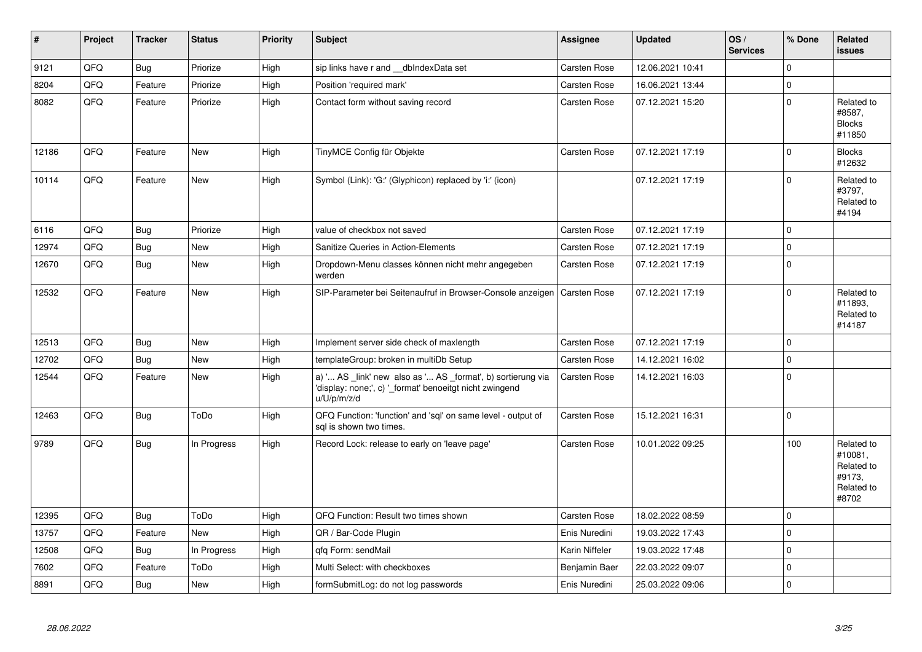| $\pmb{\#}$ | Project | <b>Tracker</b> | <b>Status</b> | <b>Priority</b> | <b>Subject</b>                                                                                                                        | Assignee            | <b>Updated</b>   | OS/<br><b>Services</b> | % Done      | Related<br><b>issues</b>                                             |
|------------|---------|----------------|---------------|-----------------|---------------------------------------------------------------------------------------------------------------------------------------|---------------------|------------------|------------------------|-------------|----------------------------------------------------------------------|
| 9121       | QFQ     | <b>Bug</b>     | Priorize      | High            | sip links have r and __dbIndexData set                                                                                                | Carsten Rose        | 12.06.2021 10:41 |                        | $\Omega$    |                                                                      |
| 8204       | QFQ     | Feature        | Priorize      | High            | Position 'required mark'                                                                                                              | Carsten Rose        | 16.06.2021 13:44 |                        | $\mathbf 0$ |                                                                      |
| 8082       | QFQ     | Feature        | Priorize      | High            | Contact form without saving record                                                                                                    | <b>Carsten Rose</b> | 07.12.2021 15:20 |                        | $\Omega$    | Related to<br>#8587,<br><b>Blocks</b><br>#11850                      |
| 12186      | QFQ     | Feature        | <b>New</b>    | High            | TinyMCE Config für Objekte                                                                                                            | Carsten Rose        | 07.12.2021 17:19 |                        | $\Omega$    | <b>Blocks</b><br>#12632                                              |
| 10114      | QFQ     | Feature        | <b>New</b>    | High            | Symbol (Link): 'G:' (Glyphicon) replaced by 'i:' (icon)                                                                               |                     | 07.12.2021 17:19 |                        | $\Omega$    | Related to<br>#3797,<br>Related to<br>#4194                          |
| 6116       | QFQ     | Bug            | Priorize      | High            | value of checkbox not saved                                                                                                           | <b>Carsten Rose</b> | 07.12.2021 17:19 |                        | $\mathbf 0$ |                                                                      |
| 12974      | QFQ     | <b>Bug</b>     | <b>New</b>    | High            | Sanitize Queries in Action-Elements                                                                                                   | Carsten Rose        | 07.12.2021 17:19 |                        | $\Omega$    |                                                                      |
| 12670      | QFQ     | <b>Bug</b>     | New           | High            | Dropdown-Menu classes können nicht mehr angegeben<br>werden                                                                           | Carsten Rose        | 07.12.2021 17:19 |                        | I٥          |                                                                      |
| 12532      | QFQ     | Feature        | New           | High            | SIP-Parameter bei Seitenaufruf in Browser-Console anzeigen                                                                            | <b>Carsten Rose</b> | 07.12.2021 17:19 |                        | $\Omega$    | Related to<br>#11893.<br>Related to<br>#14187                        |
| 12513      | QFQ     | <b>Bug</b>     | New           | High            | Implement server side check of maxlength                                                                                              | <b>Carsten Rose</b> | 07.12.2021 17:19 |                        | $\Omega$    |                                                                      |
| 12702      | QFQ     | <b>Bug</b>     | <b>New</b>    | High            | templateGroup: broken in multiDb Setup                                                                                                | Carsten Rose        | 14.12.2021 16:02 |                        | $\Omega$    |                                                                      |
| 12544      | QFQ     | Feature        | New           | High            | a) ' AS _link' new also as ' AS _format', b) sortierung via<br>'display: none;', c) '_format' benoeitgt nicht zwingend<br>u/U/p/m/z/d | <b>Carsten Rose</b> | 14.12.2021 16:03 |                        | $\mathbf 0$ |                                                                      |
| 12463      | QFQ     | <b>Bug</b>     | ToDo          | High            | QFQ Function: 'function' and 'sql' on same level - output of<br>sal is shown two times.                                               | Carsten Rose        | 15.12.2021 16:31 |                        | $\Omega$    |                                                                      |
| 9789       | QFQ     | <b>Bug</b>     | In Progress   | High            | Record Lock: release to early on 'leave page'                                                                                         | Carsten Rose        | 10.01.2022 09:25 |                        | 100         | Related to<br>#10081.<br>Related to<br>#9173,<br>Related to<br>#8702 |
| 12395      | QFQ     | Bug            | ToDo          | High            | QFQ Function: Result two times shown                                                                                                  | <b>Carsten Rose</b> | 18.02.2022 08:59 |                        | $\mathbf 0$ |                                                                      |
| 13757      | QFQ     | Feature        | <b>New</b>    | High            | QR / Bar-Code Plugin                                                                                                                  | Enis Nuredini       | 19.03.2022 17:43 |                        | $\Omega$    |                                                                      |
| 12508      | QFQ     | Bug            | In Progress   | High            | qfq Form: sendMail                                                                                                                    | Karin Niffeler      | 19.03.2022 17:48 |                        | $\mathbf 0$ |                                                                      |
| 7602       | QFQ     | Feature        | ToDo          | High            | Multi Select: with checkboxes                                                                                                         | Benjamin Baer       | 22.03.2022 09:07 |                        | $\mathbf 0$ |                                                                      |
| 8891       | QFQ     | <b>Bug</b>     | New           | High            | formSubmitLog: do not log passwords                                                                                                   | Enis Nuredini       | 25.03.2022 09:06 |                        | $\Omega$    |                                                                      |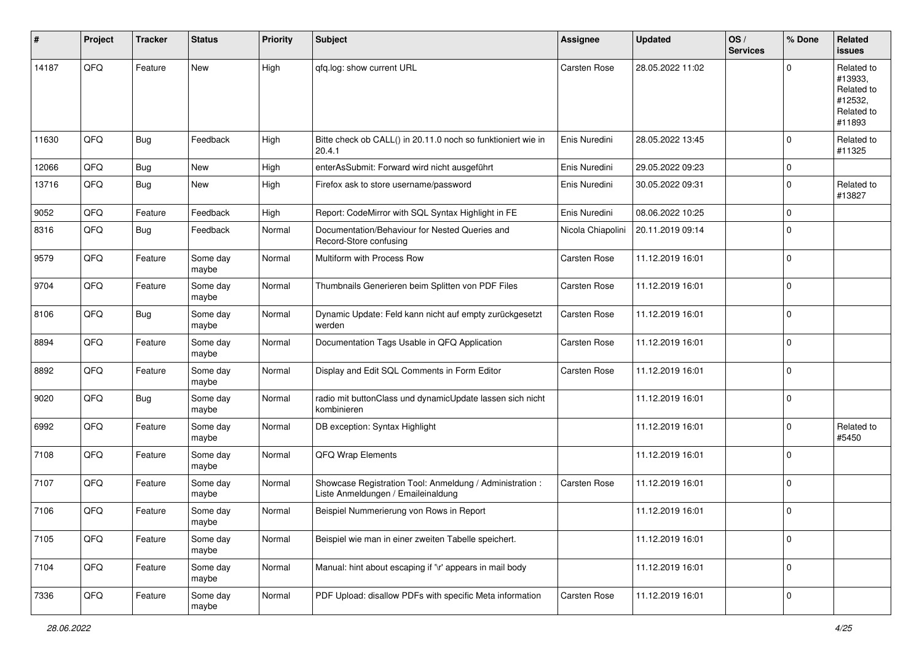| #     | Project | <b>Tracker</b> | <b>Status</b>     | <b>Priority</b> | <b>Subject</b>                                                                                 | <b>Assignee</b>     | <b>Updated</b>   | OS/<br><b>Services</b> | % Done      | Related<br>issues                                                      |
|-------|---------|----------------|-------------------|-----------------|------------------------------------------------------------------------------------------------|---------------------|------------------|------------------------|-------------|------------------------------------------------------------------------|
| 14187 | QFQ     | Feature        | New               | High            | qfq.log: show current URL                                                                      | <b>Carsten Rose</b> | 28.05.2022 11:02 |                        | $\Omega$    | Related to<br>#13933,<br>Related to<br>#12532,<br>Related to<br>#11893 |
| 11630 | QFQ     | <b>Bug</b>     | Feedback          | High            | Bitte check ob CALL() in 20.11.0 noch so funktioniert wie in<br>20.4.1                         | Enis Nuredini       | 28.05.2022 13:45 |                        | $\Omega$    | Related to<br>#11325                                                   |
| 12066 | QFQ     | <b>Bug</b>     | New               | High            | enterAsSubmit: Forward wird nicht ausgeführt                                                   | Enis Nuredini       | 29.05.2022 09:23 |                        | 0           |                                                                        |
| 13716 | QFQ     | <b>Bug</b>     | New               | High            | Firefox ask to store username/password                                                         | Enis Nuredini       | 30.05.2022 09:31 |                        | $\Omega$    | Related to<br>#13827                                                   |
| 9052  | QFQ     | Feature        | Feedback          | High            | Report: CodeMirror with SQL Syntax Highlight in FE                                             | Enis Nuredini       | 08.06.2022 10:25 |                        | $\mathbf 0$ |                                                                        |
| 8316  | QFQ     | Bug            | Feedback          | Normal          | Documentation/Behaviour for Nested Queries and<br>Record-Store confusing                       | Nicola Chiapolini   | 20.11.2019 09:14 |                        | $\Omega$    |                                                                        |
| 9579  | QFQ     | Feature        | Some day<br>maybe | Normal          | Multiform with Process Row                                                                     | <b>Carsten Rose</b> | 11.12.2019 16:01 |                        | $\mathbf 0$ |                                                                        |
| 9704  | QFQ     | Feature        | Some day<br>maybe | Normal          | Thumbnails Generieren beim Splitten von PDF Files                                              | <b>Carsten Rose</b> | 11.12.2019 16:01 |                        | $\Omega$    |                                                                        |
| 8106  | QFQ     | <b>Bug</b>     | Some day<br>maybe | Normal          | Dynamic Update: Feld kann nicht auf empty zurückgesetzt<br>werden                              | <b>Carsten Rose</b> | 11.12.2019 16:01 |                        | $\Omega$    |                                                                        |
| 8894  | QFQ     | Feature        | Some day<br>maybe | Normal          | Documentation Tags Usable in QFQ Application                                                   | <b>Carsten Rose</b> | 11.12.2019 16:01 |                        | $\mathbf 0$ |                                                                        |
| 8892  | QFQ     | Feature        | Some day<br>maybe | Normal          | Display and Edit SQL Comments in Form Editor                                                   | <b>Carsten Rose</b> | 11.12.2019 16:01 |                        | 0           |                                                                        |
| 9020  | QFQ     | <b>Bug</b>     | Some day<br>maybe | Normal          | radio mit buttonClass und dynamicUpdate lassen sich nicht<br>kombinieren                       |                     | 11.12.2019 16:01 |                        | $\Omega$    |                                                                        |
| 6992  | QFQ     | Feature        | Some day<br>maybe | Normal          | DB exception: Syntax Highlight                                                                 |                     | 11.12.2019 16:01 |                        | $\Omega$    | Related to<br>#5450                                                    |
| 7108  | QFQ     | Feature        | Some day<br>maybe | Normal          | QFQ Wrap Elements                                                                              |                     | 11.12.2019 16:01 |                        | $\Omega$    |                                                                        |
| 7107  | QFQ     | Feature        | Some day<br>maybe | Normal          | Showcase Registration Tool: Anmeldung / Administration :<br>Liste Anmeldungen / Emaileinaldung | Carsten Rose        | 11.12.2019 16:01 |                        | $\Omega$    |                                                                        |
| 7106  | QFQ     | Feature        | Some day<br>maybe | Normal          | Beispiel Nummerierung von Rows in Report                                                       |                     | 11.12.2019 16:01 |                        | $\Omega$    |                                                                        |
| 7105  | QFG     | Feature        | Some day<br>maybe | Normal          | Beispiel wie man in einer zweiten Tabelle speichert.                                           |                     | 11.12.2019 16:01 |                        | 0           |                                                                        |
| 7104  | QFG     | Feature        | Some day<br>maybe | Normal          | Manual: hint about escaping if '\r' appears in mail body                                       |                     | 11.12.2019 16:01 |                        | 0           |                                                                        |
| 7336  | QFG     | Feature        | Some day<br>maybe | Normal          | PDF Upload: disallow PDFs with specific Meta information                                       | Carsten Rose        | 11.12.2019 16:01 |                        | 0           |                                                                        |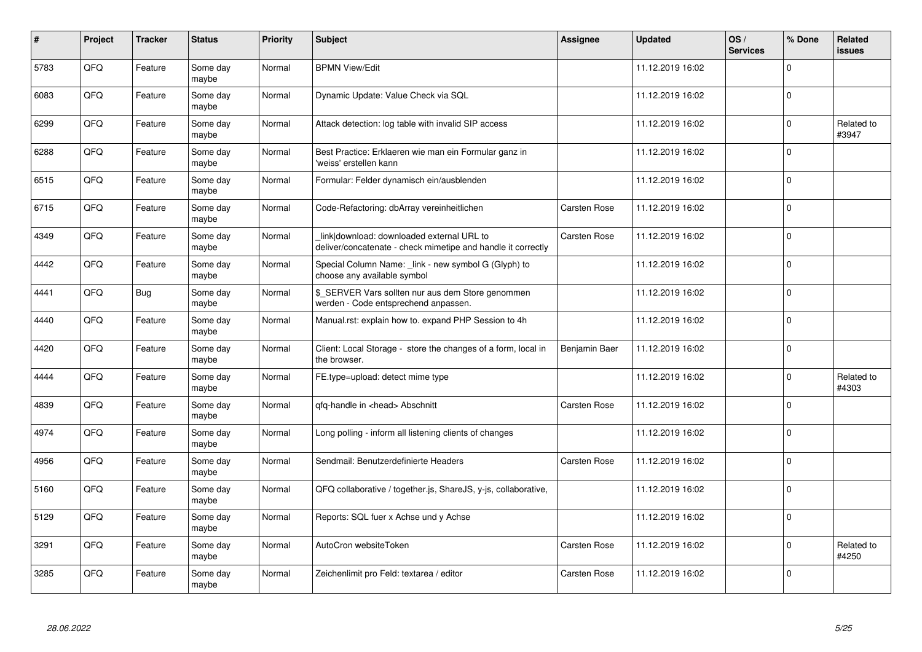| $\pmb{\#}$ | Project | <b>Tracker</b> | <b>Status</b>     | <b>Priority</b> | <b>Subject</b>                                                                                            | <b>Assignee</b>     | <b>Updated</b>   | OS/<br><b>Services</b> | % Done      | Related<br>issues   |
|------------|---------|----------------|-------------------|-----------------|-----------------------------------------------------------------------------------------------------------|---------------------|------------------|------------------------|-------------|---------------------|
| 5783       | QFQ     | Feature        | Some day<br>maybe | Normal          | <b>BPMN View/Edit</b>                                                                                     |                     | 11.12.2019 16:02 |                        | $\Omega$    |                     |
| 6083       | QFQ     | Feature        | Some day<br>maybe | Normal          | Dynamic Update: Value Check via SQL                                                                       |                     | 11.12.2019 16:02 |                        | $\Omega$    |                     |
| 6299       | QFQ     | Feature        | Some day<br>maybe | Normal          | Attack detection: log table with invalid SIP access                                                       |                     | 11.12.2019 16:02 |                        | $\Omega$    | Related to<br>#3947 |
| 6288       | QFQ     | Feature        | Some day<br>maybe | Normal          | Best Practice: Erklaeren wie man ein Formular ganz in<br>'weiss' erstellen kann                           |                     | 11.12.2019 16:02 |                        | $\Omega$    |                     |
| 6515       | QFQ     | Feature        | Some day<br>maybe | Normal          | Formular: Felder dynamisch ein/ausblenden                                                                 |                     | 11.12.2019 16:02 |                        | $\mathbf 0$ |                     |
| 6715       | QFQ     | Feature        | Some day<br>maybe | Normal          | Code-Refactoring: dbArray vereinheitlichen                                                                | <b>Carsten Rose</b> | 11.12.2019 16:02 |                        | $\Omega$    |                     |
| 4349       | QFQ     | Feature        | Some day<br>maybe | Normal          | link download: downloaded external URL to<br>deliver/concatenate - check mimetipe and handle it correctly | <b>Carsten Rose</b> | 11.12.2019 16:02 |                        | $\Omega$    |                     |
| 4442       | QFQ     | Feature        | Some day<br>maybe | Normal          | Special Column Name: _link - new symbol G (Glyph) to<br>choose any available symbol                       |                     | 11.12.2019 16:02 |                        | $\Omega$    |                     |
| 4441       | QFQ     | <b>Bug</b>     | Some day<br>maybe | Normal          | \$ SERVER Vars sollten nur aus dem Store genommen<br>werden - Code entsprechend anpassen.                 |                     | 11.12.2019 16:02 |                        | $\Omega$    |                     |
| 4440       | QFQ     | Feature        | Some day<br>maybe | Normal          | Manual.rst: explain how to. expand PHP Session to 4h                                                      |                     | 11.12.2019 16:02 |                        | $\Omega$    |                     |
| 4420       | QFQ     | Feature        | Some day<br>maybe | Normal          | Client: Local Storage - store the changes of a form, local in<br>the browser.                             | Benjamin Baer       | 11.12.2019 16:02 |                        | $\mathbf 0$ |                     |
| 4444       | QFQ     | Feature        | Some day<br>maybe | Normal          | FE.type=upload: detect mime type                                                                          |                     | 11.12.2019 16:02 |                        | $\Omega$    | Related to<br>#4303 |
| 4839       | QFQ     | Feature        | Some day<br>maybe | Normal          | qfq-handle in <head> Abschnitt</head>                                                                     | <b>Carsten Rose</b> | 11.12.2019 16:02 |                        | $\Omega$    |                     |
| 4974       | QFQ     | Feature        | Some day<br>maybe | Normal          | Long polling - inform all listening clients of changes                                                    |                     | 11.12.2019 16:02 |                        | $\mathbf 0$ |                     |
| 4956       | QFQ     | Feature        | Some day<br>maybe | Normal          | Sendmail: Benutzerdefinierte Headers                                                                      | <b>Carsten Rose</b> | 11.12.2019 16:02 |                        | $\Omega$    |                     |
| 5160       | QFQ     | Feature        | Some day<br>maybe | Normal          | QFQ collaborative / together.js, ShareJS, y-js, collaborative,                                            |                     | 11.12.2019 16:02 |                        | $\Omega$    |                     |
| 5129       | QFQ     | Feature        | Some day<br>maybe | Normal          | Reports: SQL fuer x Achse und y Achse                                                                     |                     | 11.12.2019 16:02 |                        | $\Omega$    |                     |
| 3291       | QFQ     | Feature        | Some day<br>maybe | Normal          | AutoCron websiteToken                                                                                     | Carsten Rose        | 11.12.2019 16:02 |                        | 0           | Related to<br>#4250 |
| 3285       | QFQ     | Feature        | Some day<br>maybe | Normal          | Zeichenlimit pro Feld: textarea / editor                                                                  | Carsten Rose        | 11.12.2019 16:02 |                        | $\Omega$    |                     |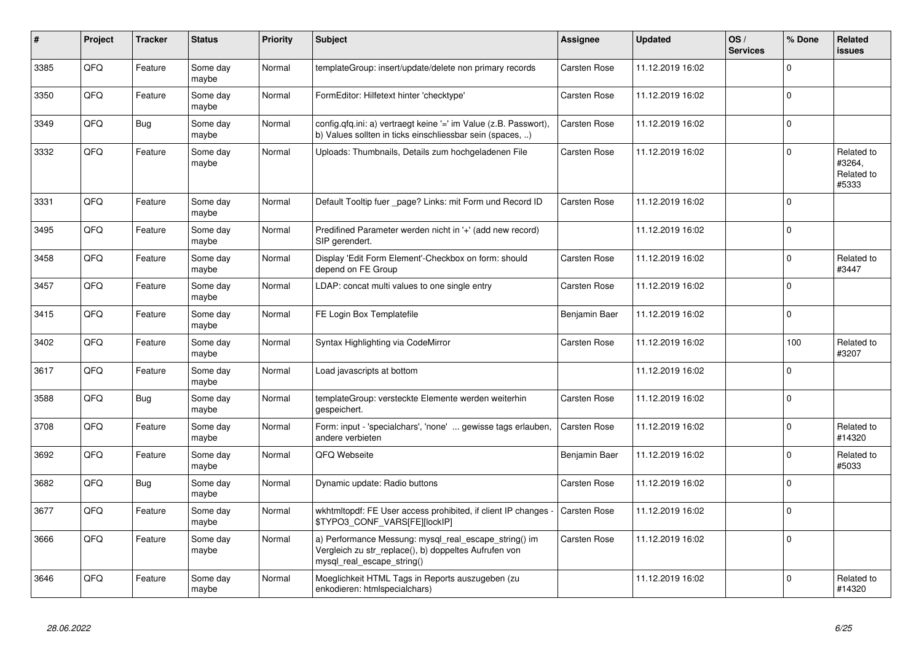| #    | Project | <b>Tracker</b> | <b>Status</b>     | <b>Priority</b> | <b>Subject</b>                                                                                                                               | Assignee            | <b>Updated</b>   | OS/<br><b>Services</b> | % Done      | Related<br><b>issues</b>                    |
|------|---------|----------------|-------------------|-----------------|----------------------------------------------------------------------------------------------------------------------------------------------|---------------------|------------------|------------------------|-------------|---------------------------------------------|
| 3385 | QFQ     | Feature        | Some day<br>maybe | Normal          | templateGroup: insert/update/delete non primary records                                                                                      | Carsten Rose        | 11.12.2019 16:02 |                        | $\Omega$    |                                             |
| 3350 | QFQ     | Feature        | Some day<br>maybe | Normal          | FormEditor: Hilfetext hinter 'checktype'                                                                                                     | Carsten Rose        | 11.12.2019 16:02 |                        | $\Omega$    |                                             |
| 3349 | QFQ     | <b>Bug</b>     | Some day<br>maybe | Normal          | config.qfq.ini: a) vertraegt keine '=' im Value (z.B. Passwort),<br>b) Values sollten in ticks einschliessbar sein (spaces, )                | <b>Carsten Rose</b> | 11.12.2019 16:02 |                        | $\mathbf 0$ |                                             |
| 3332 | QFQ     | Feature        | Some day<br>maybe | Normal          | Uploads: Thumbnails, Details zum hochgeladenen File                                                                                          | Carsten Rose        | 11.12.2019 16:02 |                        | $\Omega$    | Related to<br>#3264,<br>Related to<br>#5333 |
| 3331 | QFQ     | Feature        | Some day<br>maybe | Normal          | Default Tooltip fuer _page? Links: mit Form und Record ID                                                                                    | Carsten Rose        | 11.12.2019 16:02 |                        | $\Omega$    |                                             |
| 3495 | QFQ     | Feature        | Some day<br>maybe | Normal          | Predifined Parameter werden nicht in '+' (add new record)<br>SIP gerendert.                                                                  |                     | 11.12.2019 16:02 |                        | $\Omega$    |                                             |
| 3458 | QFQ     | Feature        | Some day<br>maybe | Normal          | Display 'Edit Form Element'-Checkbox on form: should<br>depend on FE Group                                                                   | Carsten Rose        | 11.12.2019 16:02 |                        | $\Omega$    | Related to<br>#3447                         |
| 3457 | QFQ     | Feature        | Some day<br>maybe | Normal          | LDAP: concat multi values to one single entry                                                                                                | Carsten Rose        | 11.12.2019 16:02 |                        | $\mathbf 0$ |                                             |
| 3415 | QFQ     | Feature        | Some day<br>maybe | Normal          | FE Login Box Templatefile                                                                                                                    | Benjamin Baer       | 11.12.2019 16:02 |                        | $\mathbf 0$ |                                             |
| 3402 | QFQ     | Feature        | Some day<br>maybe | Normal          | Syntax Highlighting via CodeMirror                                                                                                           | Carsten Rose        | 11.12.2019 16:02 |                        | 100         | Related to<br>#3207                         |
| 3617 | QFQ     | Feature        | Some day<br>maybe | Normal          | Load javascripts at bottom                                                                                                                   |                     | 11.12.2019 16:02 |                        | $\Omega$    |                                             |
| 3588 | QFQ     | Bug            | Some day<br>maybe | Normal          | templateGroup: versteckte Elemente werden weiterhin<br>gespeichert.                                                                          | Carsten Rose        | 11.12.2019 16:02 |                        | $\Omega$    |                                             |
| 3708 | QFQ     | Feature        | Some day<br>maybe | Normal          | Form: input - 'specialchars', 'none'  gewisse tags erlauben,<br>andere verbieten                                                             | <b>Carsten Rose</b> | 11.12.2019 16:02 |                        | $\Omega$    | Related to<br>#14320                        |
| 3692 | QFQ     | Feature        | Some day<br>maybe | Normal          | QFQ Webseite                                                                                                                                 | Benjamin Baer       | 11.12.2019 16:02 |                        | $\Omega$    | Related to<br>#5033                         |
| 3682 | QFQ     | <b>Bug</b>     | Some day<br>maybe | Normal          | Dynamic update: Radio buttons                                                                                                                | Carsten Rose        | 11.12.2019 16:02 |                        | $\Omega$    |                                             |
| 3677 | QFQ     | Feature        | Some day<br>maybe | Normal          | wkhtmltopdf: FE User access prohibited, if client IP changes -<br>\$TYPO3_CONF_VARS[FE][lockIP]                                              | <b>Carsten Rose</b> | 11.12.2019 16:02 |                        | $\Omega$    |                                             |
| 3666 | QFQ     | Feature        | Some day<br>maybe | Normal          | a) Performance Messung: mysql_real_escape_string() im<br>Vergleich zu str replace(), b) doppeltes Aufrufen von<br>mysql real escape string() | Carsten Rose        | 11.12.2019 16:02 |                        | $\Omega$    |                                             |
| 3646 | QFQ     | Feature        | Some day<br>maybe | Normal          | Moeglichkeit HTML Tags in Reports auszugeben (zu<br>enkodieren: htmlspecialchars)                                                            |                     | 11.12.2019 16:02 |                        | $\Omega$    | Related to<br>#14320                        |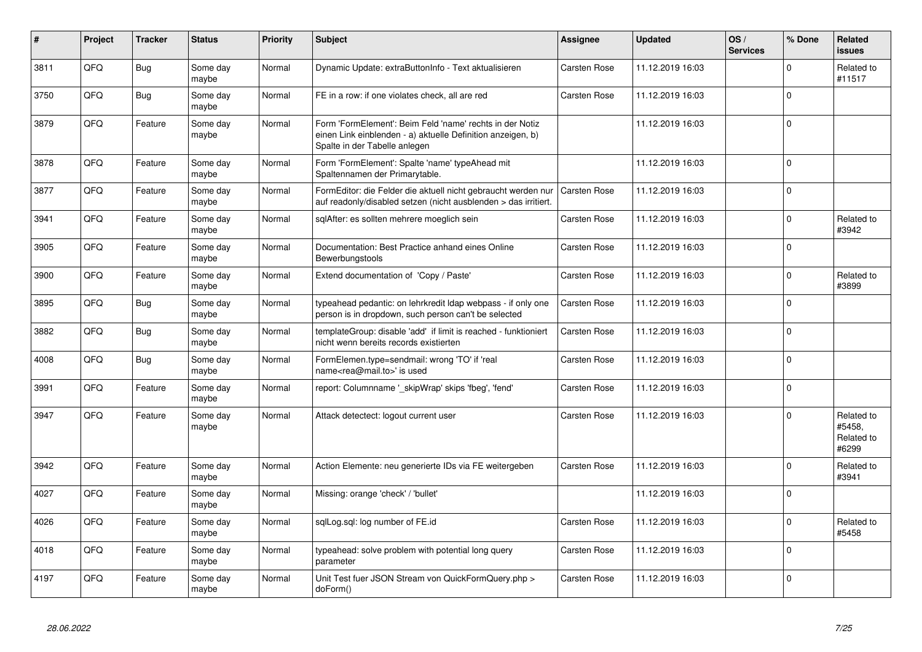| #    | Project | <b>Tracker</b> | <b>Status</b>     | <b>Priority</b> | <b>Subject</b>                                                                                                                                           | Assignee            | <b>Updated</b>   | OS/<br><b>Services</b> | % Done      | Related<br>issues                           |
|------|---------|----------------|-------------------|-----------------|----------------------------------------------------------------------------------------------------------------------------------------------------------|---------------------|------------------|------------------------|-------------|---------------------------------------------|
| 3811 | QFQ     | <b>Bug</b>     | Some day<br>maybe | Normal          | Dynamic Update: extraButtonInfo - Text aktualisieren                                                                                                     | Carsten Rose        | 11.12.2019 16:03 |                        | $\Omega$    | Related to<br>#11517                        |
| 3750 | QFQ     | <b>Bug</b>     | Some day<br>maybe | Normal          | FE in a row: if one violates check, all are red                                                                                                          | Carsten Rose        | 11.12.2019 16:03 |                        | $\Omega$    |                                             |
| 3879 | QFQ     | Feature        | Some day<br>maybe | Normal          | Form 'FormElement': Beim Feld 'name' rechts in der Notiz<br>einen Link einblenden - a) aktuelle Definition anzeigen, b)<br>Spalte in der Tabelle anlegen |                     | 11.12.2019 16:03 |                        | $\Omega$    |                                             |
| 3878 | QFQ     | Feature        | Some day<br>maybe | Normal          | Form 'FormElement': Spalte 'name' typeAhead mit<br>Spaltennamen der Primarytable.                                                                        |                     | 11.12.2019 16:03 |                        | $\Omega$    |                                             |
| 3877 | QFQ     | Feature        | Some day<br>maybe | Normal          | FormEditor: die Felder die aktuell nicht gebraucht werden nur<br>auf readonly/disabled setzen (nicht ausblenden > das irritiert.                         | <b>Carsten Rose</b> | 11.12.2019 16:03 |                        | $\Omega$    |                                             |
| 3941 | QFQ     | Feature        | Some day<br>maybe | Normal          | sqlAfter: es sollten mehrere moeglich sein                                                                                                               | Carsten Rose        | 11.12.2019 16:03 |                        | $\Omega$    | Related to<br>#3942                         |
| 3905 | QFQ     | Feature        | Some day<br>maybe | Normal          | Documentation: Best Practice anhand eines Online<br>Bewerbungstools                                                                                      | Carsten Rose        | 11.12.2019 16:03 |                        | $\Omega$    |                                             |
| 3900 | QFQ     | Feature        | Some day<br>maybe | Normal          | Extend documentation of 'Copy / Paste'                                                                                                                   | Carsten Rose        | 11.12.2019 16:03 |                        | $\Omega$    | Related to<br>#3899                         |
| 3895 | QFQ     | Bug            | Some day<br>maybe | Normal          | typeahead pedantic: on lehrkredit Idap webpass - if only one<br>person is in dropdown, such person can't be selected                                     | <b>Carsten Rose</b> | 11.12.2019 16:03 |                        | $\mathbf 0$ |                                             |
| 3882 | QFQ     | Bug            | Some day<br>maybe | Normal          | templateGroup: disable 'add' if limit is reached - funktioniert<br>nicht wenn bereits records existierten                                                | Carsten Rose        | 11.12.2019 16:03 |                        | $\Omega$    |                                             |
| 4008 | QFQ     | <b>Bug</b>     | Some day<br>maybe | Normal          | FormElemen.type=sendmail: wrong 'TO' if 'real<br>name <rea@mail.to>' is used</rea@mail.to>                                                               | <b>Carsten Rose</b> | 11.12.2019 16:03 |                        | $\Omega$    |                                             |
| 3991 | QFQ     | Feature        | Some day<br>maybe | Normal          | report: Columnname '_skipWrap' skips 'fbeg', 'fend'                                                                                                      | Carsten Rose        | 11.12.2019 16:03 |                        | $\Omega$    |                                             |
| 3947 | QFQ     | Feature        | Some day<br>maybe | Normal          | Attack detectect: logout current user                                                                                                                    | Carsten Rose        | 11.12.2019 16:03 |                        | $\Omega$    | Related to<br>#5458,<br>Related to<br>#6299 |
| 3942 | QFQ     | Feature        | Some day<br>maybe | Normal          | Action Elemente: neu generierte IDs via FE weitergeben                                                                                                   | <b>Carsten Rose</b> | 11.12.2019 16:03 |                        | $\Omega$    | Related to<br>#3941                         |
| 4027 | QFQ     | Feature        | Some day<br>maybe | Normal          | Missing: orange 'check' / 'bullet'                                                                                                                       |                     | 11.12.2019 16:03 |                        | $\Omega$    |                                             |
| 4026 | QFQ     | Feature        | Some day<br>maybe | Normal          | sqlLog.sql: log number of FE.id                                                                                                                          | Carsten Rose        | 11.12.2019 16:03 |                        | $\Omega$    | Related to<br>#5458                         |
| 4018 | QFQ     | Feature        | Some day<br>maybe | Normal          | typeahead: solve problem with potential long query<br>parameter                                                                                          | Carsten Rose        | 11.12.2019 16:03 |                        | $\mathbf 0$ |                                             |
| 4197 | QFQ     | Feature        | Some day<br>maybe | Normal          | Unit Test fuer JSON Stream von QuickFormQuery.php ><br>doForm()                                                                                          | Carsten Rose        | 11.12.2019 16:03 |                        | $\Omega$    |                                             |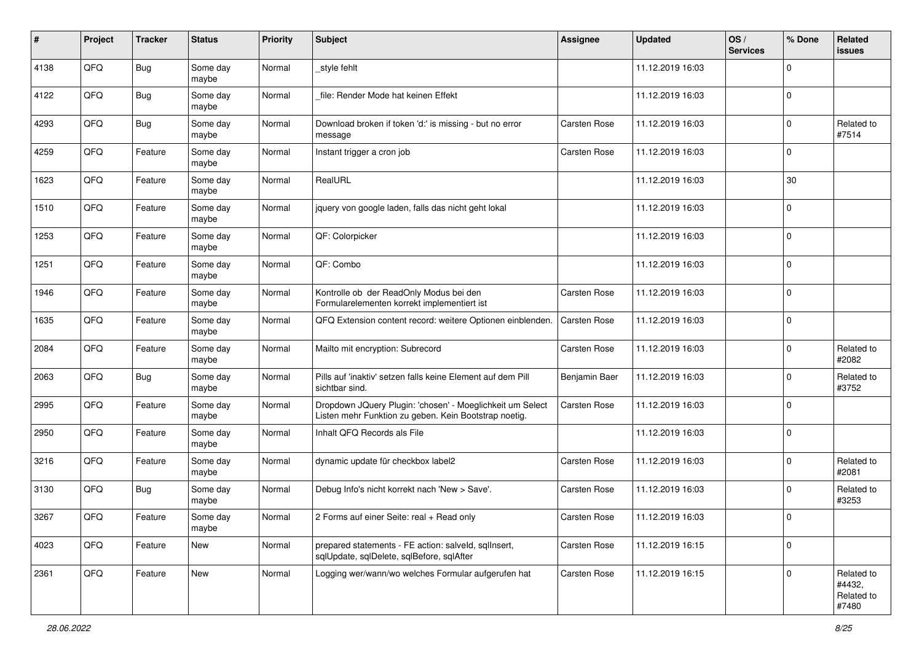| #    | Project | <b>Tracker</b> | <b>Status</b>     | <b>Priority</b> | <b>Subject</b>                                                                                                     | <b>Assignee</b>     | <b>Updated</b>   | OS/<br><b>Services</b> | % Done      | Related<br>issues                           |
|------|---------|----------------|-------------------|-----------------|--------------------------------------------------------------------------------------------------------------------|---------------------|------------------|------------------------|-------------|---------------------------------------------|
| 4138 | QFQ     | <b>Bug</b>     | Some day<br>maybe | Normal          | _style fehlt                                                                                                       |                     | 11.12.2019 16:03 |                        | 0           |                                             |
| 4122 | QFQ     | Bug            | Some day<br>maybe | Normal          | file: Render Mode hat keinen Effekt                                                                                |                     | 11.12.2019 16:03 |                        | $\mathbf 0$ |                                             |
| 4293 | QFQ     | <b>Bug</b>     | Some day<br>maybe | Normal          | Download broken if token 'd:' is missing - but no error<br>message                                                 | Carsten Rose        | 11.12.2019 16:03 |                        | 0           | Related to<br>#7514                         |
| 4259 | QFQ     | Feature        | Some day<br>maybe | Normal          | Instant trigger a cron job                                                                                         | Carsten Rose        | 11.12.2019 16:03 |                        | $\Omega$    |                                             |
| 1623 | QFQ     | Feature        | Some day<br>maybe | Normal          | RealURL                                                                                                            |                     | 11.12.2019 16:03 |                        | 30          |                                             |
| 1510 | QFQ     | Feature        | Some day<br>maybe | Normal          | jquery von google laden, falls das nicht geht lokal                                                                |                     | 11.12.2019 16:03 |                        | $\Omega$    |                                             |
| 1253 | QFQ     | Feature        | Some day<br>maybe | Normal          | QF: Colorpicker                                                                                                    |                     | 11.12.2019 16:03 |                        | $\Omega$    |                                             |
| 1251 | QFQ     | Feature        | Some day<br>maybe | Normal          | QF: Combo                                                                                                          |                     | 11.12.2019 16:03 |                        | $\mathbf 0$ |                                             |
| 1946 | QFQ     | Feature        | Some day<br>maybe | Normal          | Kontrolle ob der ReadOnly Modus bei den<br>Formularelementen korrekt implementiert ist                             | <b>Carsten Rose</b> | 11.12.2019 16:03 |                        | $\mathbf 0$ |                                             |
| 1635 | QFQ     | Feature        | Some day<br>maybe | Normal          | QFQ Extension content record: weitere Optionen einblenden.                                                         | <b>Carsten Rose</b> | 11.12.2019 16:03 |                        | 0           |                                             |
| 2084 | QFQ     | Feature        | Some day<br>maybe | Normal          | Mailto mit encryption: Subrecord                                                                                   | <b>Carsten Rose</b> | 11.12.2019 16:03 |                        | $\mathbf 0$ | Related to<br>#2082                         |
| 2063 | QFQ     | <b>Bug</b>     | Some day<br>maybe | Normal          | Pills auf 'inaktiv' setzen falls keine Element auf dem Pill<br>sichtbar sind.                                      | Benjamin Baer       | 11.12.2019 16:03 |                        | $\Omega$    | Related to<br>#3752                         |
| 2995 | QFQ     | Feature        | Some day<br>maybe | Normal          | Dropdown JQuery Plugin: 'chosen' - Moeglichkeit um Select<br>Listen mehr Funktion zu geben. Kein Bootstrap noetig. | Carsten Rose        | 11.12.2019 16:03 |                        | $\Omega$    |                                             |
| 2950 | QFQ     | Feature        | Some day<br>maybe | Normal          | Inhalt QFQ Records als File                                                                                        |                     | 11.12.2019 16:03 |                        | $\Omega$    |                                             |
| 3216 | QFQ     | Feature        | Some day<br>maybe | Normal          | dynamic update für checkbox label2                                                                                 | <b>Carsten Rose</b> | 11.12.2019 16:03 |                        | $\mathbf 0$ | Related to<br>#2081                         |
| 3130 | QFQ     | <b>Bug</b>     | Some day<br>maybe | Normal          | Debug Info's nicht korrekt nach 'New > Save'.                                                                      | Carsten Rose        | 11.12.2019 16:03 |                        | $\Omega$    | Related to<br>#3253                         |
| 3267 | QFQ     | Feature        | Some day<br>maybe | Normal          | 2 Forms auf einer Seite: real + Read only                                                                          | <b>Carsten Rose</b> | 11.12.2019 16:03 |                        | $\Omega$    |                                             |
| 4023 | QFQ     | Feature        | New               | Normal          | prepared statements - FE action: salveld, sqllnsert,<br>sqlUpdate, sqlDelete, sqlBefore, sqlAfter                  | Carsten Rose        | 11.12.2019 16:15 |                        | $\mathbf 0$ |                                             |
| 2361 | QFQ     | Feature        | New               | Normal          | Logging wer/wann/wo welches Formular aufgerufen hat                                                                | Carsten Rose        | 11.12.2019 16:15 |                        | 0           | Related to<br>#4432,<br>Related to<br>#7480 |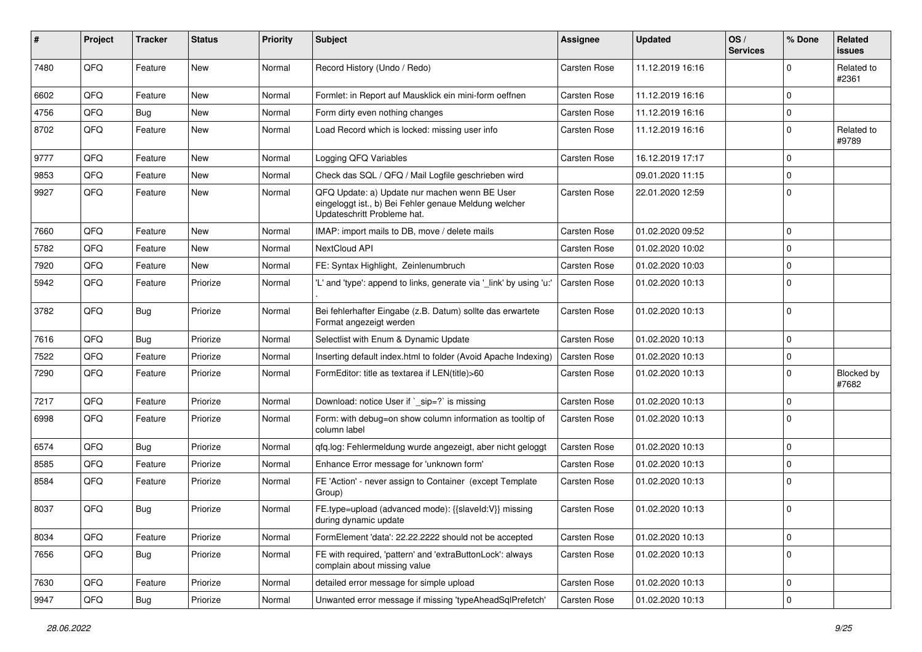| #    | Project | <b>Tracker</b> | <b>Status</b> | <b>Priority</b> | <b>Subject</b>                                                                                                                        | <b>Assignee</b>     | <b>Updated</b>   | OS/<br><b>Services</b> | % Done       | Related<br>issues   |
|------|---------|----------------|---------------|-----------------|---------------------------------------------------------------------------------------------------------------------------------------|---------------------|------------------|------------------------|--------------|---------------------|
| 7480 | QFQ     | Feature        | <b>New</b>    | Normal          | Record History (Undo / Redo)                                                                                                          | <b>Carsten Rose</b> | 11.12.2019 16:16 |                        | $\Omega$     | Related to<br>#2361 |
| 6602 | QFQ     | Feature        | New           | Normal          | Formlet: in Report auf Mausklick ein mini-form oeffnen                                                                                | Carsten Rose        | 11.12.2019 16:16 |                        | 0            |                     |
| 4756 | QFQ     | <b>Bug</b>     | New           | Normal          | Form dirty even nothing changes                                                                                                       | Carsten Rose        | 11.12.2019 16:16 |                        | $\mathbf 0$  |                     |
| 8702 | QFQ     | Feature        | New           | Normal          | Load Record which is locked: missing user info                                                                                        | Carsten Rose        | 11.12.2019 16:16 |                        | 0            | Related to<br>#9789 |
| 9777 | QFQ     | Feature        | New           | Normal          | Logging QFQ Variables                                                                                                                 | <b>Carsten Rose</b> | 16.12.2019 17:17 |                        | $\mathbf 0$  |                     |
| 9853 | QFQ     | Feature        | <b>New</b>    | Normal          | Check das SQL / QFQ / Mail Logfile geschrieben wird                                                                                   |                     | 09.01.2020 11:15 |                        | $\mathbf 0$  |                     |
| 9927 | QFQ     | Feature        | New           | Normal          | QFQ Update: a) Update nur machen wenn BE User<br>eingeloggt ist., b) Bei Fehler genaue Meldung welcher<br>Updateschritt Probleme hat. | Carsten Rose        | 22.01.2020 12:59 |                        | 0            |                     |
| 7660 | QFQ     | Feature        | <b>New</b>    | Normal          | IMAP: import mails to DB, move / delete mails                                                                                         | <b>Carsten Rose</b> | 01.02.2020 09:52 |                        | $\mathbf 0$  |                     |
| 5782 | QFQ     | Feature        | <b>New</b>    | Normal          | NextCloud API                                                                                                                         | Carsten Rose        | 01.02.2020 10:02 |                        | $\mathbf 0$  |                     |
| 7920 | QFQ     | Feature        | New           | Normal          | FE: Syntax Highlight, Zeinlenumbruch                                                                                                  | <b>Carsten Rose</b> | 01.02.2020 10:03 |                        | $\mathbf 0$  |                     |
| 5942 | QFQ     | Feature        | Priorize      | Normal          | 'L' and 'type': append to links, generate via '_link' by using 'u:                                                                    | Carsten Rose        | 01.02.2020 10:13 |                        | $\Omega$     |                     |
| 3782 | QFQ     | <b>Bug</b>     | Priorize      | Normal          | Bei fehlerhafter Eingabe (z.B. Datum) sollte das erwartete<br>Format angezeigt werden                                                 | Carsten Rose        | 01.02.2020 10:13 |                        | $\mathbf 0$  |                     |
| 7616 | QFQ     | <b>Bug</b>     | Priorize      | Normal          | Selectlist with Enum & Dynamic Update                                                                                                 | <b>Carsten Rose</b> | 01.02.2020 10:13 |                        | $\mathbf 0$  |                     |
| 7522 | QFQ     | Feature        | Priorize      | Normal          | Inserting default index.html to folder (Avoid Apache Indexing)                                                                        | Carsten Rose        | 01.02.2020 10:13 |                        | 0            |                     |
| 7290 | QFQ     | Feature        | Priorize      | Normal          | FormEditor: title as textarea if LEN(title)>60                                                                                        | Carsten Rose        | 01.02.2020 10:13 |                        | $\mathbf 0$  | Blocked by<br>#7682 |
| 7217 | QFQ     | Feature        | Priorize      | Normal          | Download: notice User if `_sip=?` is missing                                                                                          | Carsten Rose        | 01.02.2020 10:13 |                        | $\mathbf 0$  |                     |
| 6998 | QFQ     | Feature        | Priorize      | Normal          | Form: with debug=on show column information as tooltip of<br>column label                                                             | <b>Carsten Rose</b> | 01.02.2020 10:13 |                        | $\mathbf 0$  |                     |
| 6574 | QFQ     | <b>Bug</b>     | Priorize      | Normal          | qfq.log: Fehlermeldung wurde angezeigt, aber nicht geloggt                                                                            | Carsten Rose        | 01.02.2020 10:13 |                        | $\mathbf 0$  |                     |
| 8585 | QFQ     | Feature        | Priorize      | Normal          | Enhance Error message for 'unknown form'                                                                                              | Carsten Rose        | 01.02.2020 10:13 |                        | $\mathbf 0$  |                     |
| 8584 | QFQ     | Feature        | Priorize      | Normal          | FE 'Action' - never assign to Container (except Template<br>Group)                                                                    | Carsten Rose        | 01.02.2020 10:13 |                        | 0            |                     |
| 8037 | QFQ     | <b>Bug</b>     | Priorize      | Normal          | FE.type=upload (advanced mode): {{slaveld:V}} missing<br>during dynamic update                                                        | Carsten Rose        | 01.02.2020 10:13 |                        | $\mathbf 0$  |                     |
| 8034 | QFQ     | Feature        | Priorize      | Normal          | FormElement 'data': 22.22.2222 should not be accepted                                                                                 | Carsten Rose        | 01.02.2020 10:13 |                        | 0            |                     |
| 7656 | QFQ     | <b>Bug</b>     | Priorize      | Normal          | FE with required, 'pattern' and 'extraButtonLock': always<br>complain about missing value                                             | Carsten Rose        | 01.02.2020 10:13 |                        | $\mathbf 0$  |                     |
| 7630 | QFQ     | Feature        | Priorize      | Normal          | detailed error message for simple upload                                                                                              | Carsten Rose        | 01.02.2020 10:13 |                        | $\mathsf{O}$ |                     |
| 9947 | QFQ     | Bug            | Priorize      | Normal          | Unwanted error message if missing 'typeAheadSqlPrefetch'                                                                              | Carsten Rose        | 01.02.2020 10:13 |                        | $\mathbf 0$  |                     |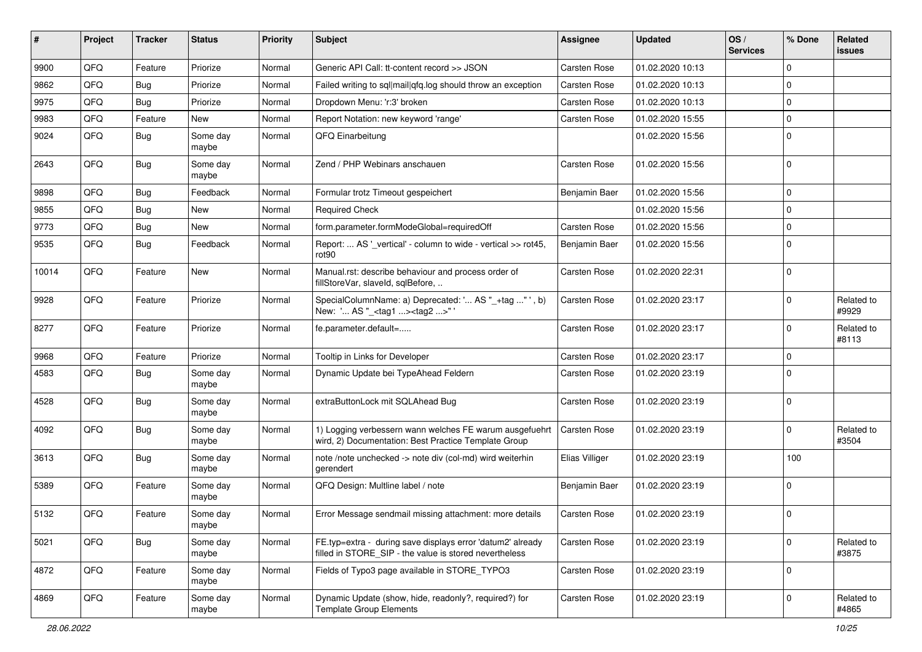| #     | Project | <b>Tracker</b> | <b>Status</b>     | <b>Priority</b> | Subject                                                                                                              | <b>Assignee</b>     | <b>Updated</b>   | OS/<br><b>Services</b> | % Done      | Related<br><b>issues</b> |
|-------|---------|----------------|-------------------|-----------------|----------------------------------------------------------------------------------------------------------------------|---------------------|------------------|------------------------|-------------|--------------------------|
| 9900  | QFQ     | Feature        | Priorize          | Normal          | Generic API Call: tt-content record >> JSON                                                                          | Carsten Rose        | 01.02.2020 10:13 |                        | $\Omega$    |                          |
| 9862  | QFQ     | Bug            | Priorize          | Normal          | Failed writing to sql mail qfq.log should throw an exception                                                         | Carsten Rose        | 01.02.2020 10:13 |                        | $\Omega$    |                          |
| 9975  | QFQ     | Bug            | Priorize          | Normal          | Dropdown Menu: 'r:3' broken                                                                                          | Carsten Rose        | 01.02.2020 10:13 |                        | $\Omega$    |                          |
| 9983  | QFQ     | Feature        | New               | Normal          | Report Notation: new keyword 'range'                                                                                 | Carsten Rose        | 01.02.2020 15:55 |                        | $\Omega$    |                          |
| 9024  | QFQ     | <b>Bug</b>     | Some day<br>maybe | Normal          | QFQ Einarbeitung                                                                                                     |                     | 01.02.2020 15:56 |                        | 0           |                          |
| 2643  | QFQ     | <b>Bug</b>     | Some day<br>maybe | Normal          | Zend / PHP Webinars anschauen                                                                                        | Carsten Rose        | 01.02.2020 15:56 |                        | $\Omega$    |                          |
| 9898  | QFQ     | <b>Bug</b>     | Feedback          | Normal          | Formular trotz Timeout gespeichert                                                                                   | Benjamin Baer       | 01.02.2020 15:56 |                        | $\mathbf 0$ |                          |
| 9855  | QFQ     | Bug            | New               | Normal          | <b>Required Check</b>                                                                                                |                     | 01.02.2020 15:56 |                        | $\Omega$    |                          |
| 9773  | QFQ     | Bug            | New               | Normal          | form.parameter.formModeGlobal=requiredOff                                                                            | Carsten Rose        | 01.02.2020 15:56 |                        | $\mathbf 0$ |                          |
| 9535  | QFQ     | <b>Bug</b>     | Feedback          | Normal          | Report:  AS '_vertical' - column to wide - vertical >> rot45,<br>rot <sub>90</sub>                                   | Benjamin Baer       | 01.02.2020 15:56 |                        | $\Omega$    |                          |
| 10014 | QFQ     | Feature        | New               | Normal          | Manual.rst: describe behaviour and process order of<br>fillStoreVar, slaveId, sqlBefore,                             | <b>Carsten Rose</b> | 01.02.2020 22:31 |                        | $\Omega$    |                          |
| 9928  | QFQ     | Feature        | Priorize          | Normal          | SpecialColumnName: a) Deprecated: ' AS "_+tag " ', b)<br>New: ' AS "_ <tag1><tag2>"</tag2></tag1>                    | <b>Carsten Rose</b> | 01.02.2020 23:17 |                        | $\Omega$    | Related to<br>#9929      |
| 8277  | QFQ     | Feature        | Priorize          | Normal          | fe.parameter.default=                                                                                                | <b>Carsten Rose</b> | 01.02.2020 23:17 |                        | $\Omega$    | Related to<br>#8113      |
| 9968  | QFQ     | Feature        | Priorize          | Normal          | Tooltip in Links for Developer                                                                                       | Carsten Rose        | 01.02.2020 23:17 |                        | $\mathbf 0$ |                          |
| 4583  | QFQ     | Bug            | Some day<br>maybe | Normal          | Dynamic Update bei TypeAhead Feldern                                                                                 | Carsten Rose        | 01.02.2020 23:19 |                        | $\Omega$    |                          |
| 4528  | QFQ     | <b>Bug</b>     | Some day<br>maybe | Normal          | extraButtonLock mit SQLAhead Bug                                                                                     | Carsten Rose        | 01.02.2020 23:19 |                        | $\Omega$    |                          |
| 4092  | QFQ     | Bug            | Some day<br>maybe | Normal          | 1) Logging verbessern wann welches FE warum ausgefuehrt<br>wird, 2) Documentation: Best Practice Template Group      | <b>Carsten Rose</b> | 01.02.2020 23:19 |                        | $\Omega$    | Related to<br>#3504      |
| 3613  | QFQ     | <b>Bug</b>     | Some day<br>maybe | Normal          | note /note unchecked -> note div (col-md) wird weiterhin<br>gerendert                                                | Elias Villiger      | 01.02.2020 23:19 |                        | 100         |                          |
| 5389  | QFQ     | Feature        | Some day<br>maybe | Normal          | QFQ Design: Multline label / note                                                                                    | Benjamin Baer       | 01.02.2020 23:19 |                        | $\mathbf 0$ |                          |
| 5132  | QFQ     | Feature        | Some day<br>maybe | Normal          | Error Message sendmail missing attachment: more details                                                              | Carsten Rose        | 01.02.2020 23:19 |                        | $\mathbf 0$ |                          |
| 5021  | QFQ     | <b>Bug</b>     | Some day<br>maybe | Normal          | FE.typ=extra - during save displays error 'datum2' already<br>filled in STORE_SIP - the value is stored nevertheless | Carsten Rose        | 01.02.2020 23:19 |                        | $\mathbf 0$ | Related to<br>#3875      |
| 4872  | QFQ     | Feature        | Some day<br>maybe | Normal          | Fields of Typo3 page available in STORE TYPO3                                                                        | Carsten Rose        | 01.02.2020 23:19 |                        | 0           |                          |
| 4869  | QFQ     | Feature        | Some day<br>maybe | Normal          | Dynamic Update (show, hide, readonly?, required?) for<br><b>Template Group Elements</b>                              | Carsten Rose        | 01.02.2020 23:19 |                        | $\mathbf 0$ | Related to<br>#4865      |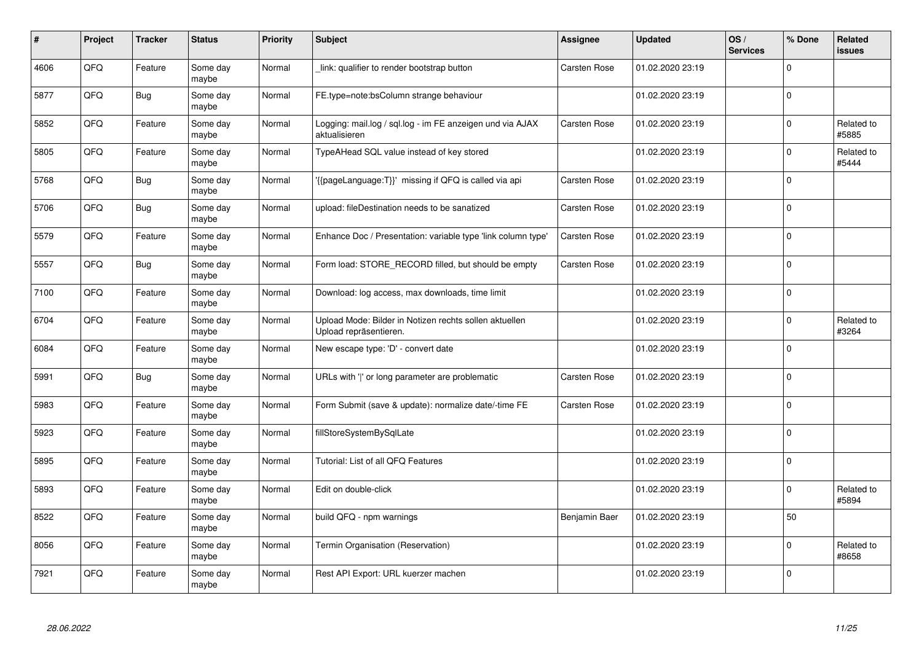| #    | Project | <b>Tracker</b> | <b>Status</b>     | <b>Priority</b> | <b>Subject</b>                                                                   | <b>Assignee</b>     | <b>Updated</b>   | OS/<br><b>Services</b> | % Done      | Related<br>issues   |
|------|---------|----------------|-------------------|-----------------|----------------------------------------------------------------------------------|---------------------|------------------|------------------------|-------------|---------------------|
| 4606 | QFQ     | Feature        | Some day<br>maybe | Normal          | link: qualifier to render bootstrap button                                       | Carsten Rose        | 01.02.2020 23:19 |                        | $\Omega$    |                     |
| 5877 | QFQ     | <b>Bug</b>     | Some day<br>maybe | Normal          | FE.type=note:bsColumn strange behaviour                                          |                     | 01.02.2020 23:19 |                        | $\Omega$    |                     |
| 5852 | QFQ     | Feature        | Some day<br>maybe | Normal          | Logging: mail.log / sql.log - im FE anzeigen und via AJAX<br>aktualisieren       | Carsten Rose        | 01.02.2020 23:19 |                        | $\Omega$    | Related to<br>#5885 |
| 5805 | QFQ     | Feature        | Some day<br>maybe | Normal          | TypeAHead SQL value instead of key stored                                        |                     | 01.02.2020 23:19 |                        | $\Omega$    | Related to<br>#5444 |
| 5768 | QFQ     | <b>Bug</b>     | Some day<br>maybe | Normal          | '{{pageLanguage:T}}' missing if QFQ is called via api                            | <b>Carsten Rose</b> | 01.02.2020 23:19 |                        | $\Omega$    |                     |
| 5706 | QFQ     | <b>Bug</b>     | Some day<br>maybe | Normal          | upload: fileDestination needs to be sanatized                                    | Carsten Rose        | 01.02.2020 23:19 |                        | $\Omega$    |                     |
| 5579 | QFQ     | Feature        | Some day<br>maybe | Normal          | Enhance Doc / Presentation: variable type 'link column type'                     | <b>Carsten Rose</b> | 01.02.2020 23:19 |                        | 0           |                     |
| 5557 | QFQ     | <b>Bug</b>     | Some day<br>maybe | Normal          | Form load: STORE_RECORD filled, but should be empty                              | Carsten Rose        | 01.02.2020 23:19 |                        | $\Omega$    |                     |
| 7100 | QFQ     | Feature        | Some day<br>maybe | Normal          | Download: log access, max downloads, time limit                                  |                     | 01.02.2020 23:19 |                        | $\Omega$    |                     |
| 6704 | QFQ     | Feature        | Some day<br>maybe | Normal          | Upload Mode: Bilder in Notizen rechts sollen aktuellen<br>Upload repräsentieren. |                     | 01.02.2020 23:19 |                        | $\mathbf 0$ | Related to<br>#3264 |
| 6084 | QFQ     | Feature        | Some day<br>maybe | Normal          | New escape type: 'D' - convert date                                              |                     | 01.02.2020 23:19 |                        | $\Omega$    |                     |
| 5991 | QFQ     | Bug            | Some day<br>maybe | Normal          | URLs with ' ' or long parameter are problematic                                  | Carsten Rose        | 01.02.2020 23:19 |                        | $\Omega$    |                     |
| 5983 | QFQ     | Feature        | Some day<br>maybe | Normal          | Form Submit (save & update): normalize date/-time FE                             | Carsten Rose        | 01.02.2020 23:19 |                        | 0           |                     |
| 5923 | QFQ     | Feature        | Some day<br>maybe | Normal          | fillStoreSystemBySqlLate                                                         |                     | 01.02.2020 23:19 |                        | $\Omega$    |                     |
| 5895 | QFQ     | Feature        | Some day<br>maybe | Normal          | Tutorial: List of all QFQ Features                                               |                     | 01.02.2020 23:19 |                        | $\mathbf 0$ |                     |
| 5893 | QFQ     | Feature        | Some day<br>maybe | Normal          | Edit on double-click                                                             |                     | 01.02.2020 23:19 |                        | $\Omega$    | Related to<br>#5894 |
| 8522 | QFQ     | Feature        | Some day<br>maybe | Normal          | build QFQ - npm warnings                                                         | Benjamin Baer       | 01.02.2020 23:19 |                        | 50          |                     |
| 8056 | QFQ     | Feature        | Some day<br>maybe | Normal          | Termin Organisation (Reservation)                                                |                     | 01.02.2020 23:19 |                        | $\mathbf 0$ | Related to<br>#8658 |
| 7921 | QFQ     | Feature        | Some day<br>maybe | Normal          | Rest API Export: URL kuerzer machen                                              |                     | 01.02.2020 23:19 |                        | $\Omega$    |                     |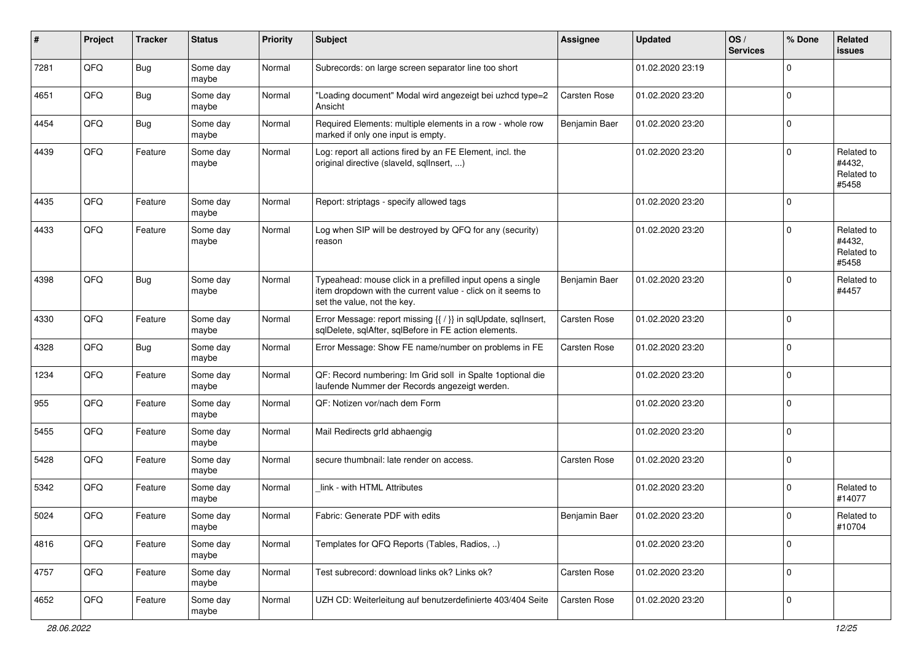| #    | Project | <b>Tracker</b> | <b>Status</b>     | <b>Priority</b> | <b>Subject</b>                                                                                                                                           | <b>Assignee</b>     | <b>Updated</b>   | OS/<br><b>Services</b> | % Done      | Related<br>issues                           |
|------|---------|----------------|-------------------|-----------------|----------------------------------------------------------------------------------------------------------------------------------------------------------|---------------------|------------------|------------------------|-------------|---------------------------------------------|
| 7281 | QFQ     | <b>Bug</b>     | Some day<br>maybe | Normal          | Subrecords: on large screen separator line too short                                                                                                     |                     | 01.02.2020 23:19 |                        | $\Omega$    |                                             |
| 4651 | QFQ     | Bug            | Some day<br>maybe | Normal          | "Loading document" Modal wird angezeigt bei uzhcd type=2<br>Ansicht                                                                                      | <b>Carsten Rose</b> | 01.02.2020 23:20 |                        | 0           |                                             |
| 4454 | QFQ     | <b>Bug</b>     | Some day<br>maybe | Normal          | Required Elements: multiple elements in a row - whole row<br>marked if only one input is empty.                                                          | Benjamin Baer       | 01.02.2020 23:20 |                        | $\Omega$    |                                             |
| 4439 | QFQ     | Feature        | Some day<br>maybe | Normal          | Log: report all actions fired by an FE Element, incl. the<br>original directive (slaveld, sqlInsert, )                                                   |                     | 01.02.2020 23:20 |                        | $\Omega$    | Related to<br>#4432,<br>Related to<br>#5458 |
| 4435 | QFQ     | Feature        | Some day<br>maybe | Normal          | Report: striptags - specify allowed tags                                                                                                                 |                     | 01.02.2020 23:20 |                        | $\Omega$    |                                             |
| 4433 | QFQ     | Feature        | Some day<br>maybe | Normal          | Log when SIP will be destroyed by QFQ for any (security)<br>reason                                                                                       |                     | 01.02.2020 23:20 |                        | $\Omega$    | Related to<br>#4432,<br>Related to<br>#5458 |
| 4398 | QFQ     | Bug            | Some day<br>maybe | Normal          | Typeahead: mouse click in a prefilled input opens a single<br>item dropdown with the current value - click on it seems to<br>set the value, not the key. | Benjamin Baer       | 01.02.2020 23:20 |                        | $\Omega$    | Related to<br>#4457                         |
| 4330 | QFQ     | Feature        | Some day<br>maybe | Normal          | Error Message: report missing {{ / }} in sqlUpdate, sqlInsert,<br>sqlDelete, sqlAfter, sqlBefore in FE action elements.                                  | <b>Carsten Rose</b> | 01.02.2020 23:20 |                        | 0           |                                             |
| 4328 | QFQ     | <b>Bug</b>     | Some day<br>maybe | Normal          | Error Message: Show FE name/number on problems in FE                                                                                                     | <b>Carsten Rose</b> | 01.02.2020 23:20 |                        | $\Omega$    |                                             |
| 1234 | QFQ     | Feature        | Some day<br>maybe | Normal          | QF: Record numbering: Im Grid soll in Spalte 1 optional die<br>laufende Nummer der Records angezeigt werden.                                             |                     | 01.02.2020 23:20 |                        | $\Omega$    |                                             |
| 955  | QFQ     | Feature        | Some day<br>maybe | Normal          | QF: Notizen vor/nach dem Form                                                                                                                            |                     | 01.02.2020 23:20 |                        | $\Omega$    |                                             |
| 5455 | QFQ     | Feature        | Some day<br>maybe | Normal          | Mail Redirects grld abhaengig                                                                                                                            |                     | 01.02.2020 23:20 |                        | $\Omega$    |                                             |
| 5428 | QFQ     | Feature        | Some day<br>maybe | Normal          | secure thumbnail: late render on access.                                                                                                                 | <b>Carsten Rose</b> | 01.02.2020 23:20 |                        | $\Omega$    |                                             |
| 5342 | QFQ     | Feature        | Some day<br>maybe | Normal          | link - with HTML Attributes                                                                                                                              |                     | 01.02.2020 23:20 |                        | $\Omega$    | Related to<br>#14077                        |
| 5024 | QFQ     | Feature        | Some day<br>maybe | Normal          | Fabric: Generate PDF with edits                                                                                                                          | Benjamin Baer       | 01.02.2020 23:20 |                        | 0 I         | Related to<br>#10704                        |
| 4816 | QFG     | Feature        | Some day<br>maybe | Normal          | Templates for QFQ Reports (Tables, Radios, )                                                                                                             |                     | 01.02.2020 23:20 |                        | $\Omega$    |                                             |
| 4757 | QFG     | Feature        | Some day<br>maybe | Normal          | Test subrecord: download links ok? Links ok?                                                                                                             | Carsten Rose        | 01.02.2020 23:20 |                        | $\mathbf 0$ |                                             |
| 4652 | QFG     | Feature        | Some day<br>maybe | Normal          | UZH CD: Weiterleitung auf benutzerdefinierte 403/404 Seite                                                                                               | Carsten Rose        | 01.02.2020 23:20 |                        | 0           |                                             |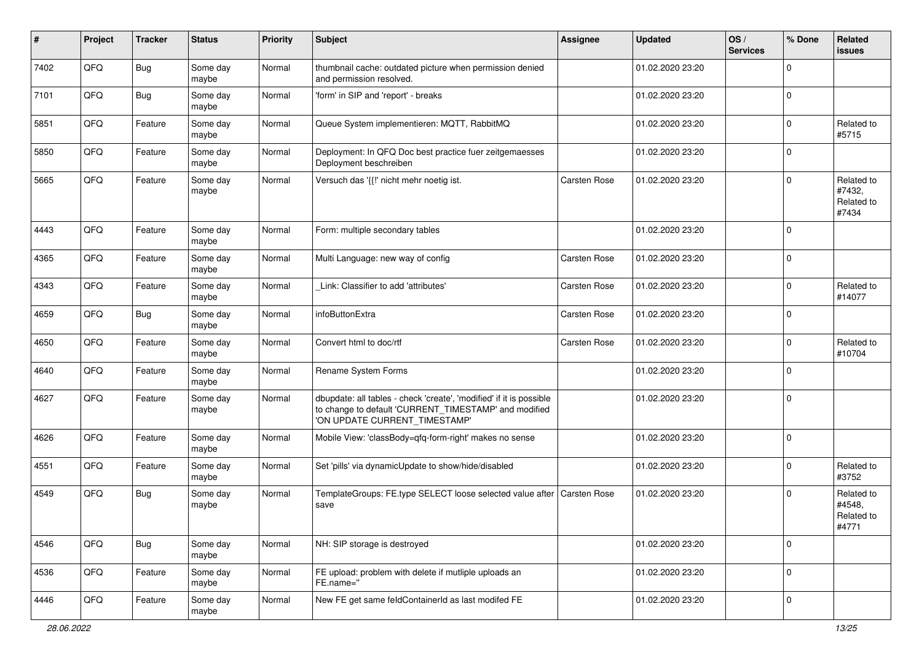| ∦    | Project | <b>Tracker</b> | <b>Status</b>     | <b>Priority</b> | <b>Subject</b>                                                                                                                                                | <b>Assignee</b>     | <b>Updated</b>   | OS/<br><b>Services</b> | % Done      | Related<br>issues                           |
|------|---------|----------------|-------------------|-----------------|---------------------------------------------------------------------------------------------------------------------------------------------------------------|---------------------|------------------|------------------------|-------------|---------------------------------------------|
| 7402 | QFQ     | <b>Bug</b>     | Some day<br>maybe | Normal          | thumbnail cache: outdated picture when permission denied<br>and permission resolved.                                                                          |                     | 01.02.2020 23:20 |                        | $\Omega$    |                                             |
| 7101 | QFQ     | Bug            | Some day<br>maybe | Normal          | 'form' in SIP and 'report' - breaks                                                                                                                           |                     | 01.02.2020 23:20 |                        | $\Omega$    |                                             |
| 5851 | QFQ     | Feature        | Some day<br>maybe | Normal          | Queue System implementieren: MQTT, RabbitMQ                                                                                                                   |                     | 01.02.2020 23:20 |                        | $\Omega$    | Related to<br>#5715                         |
| 5850 | QFQ     | Feature        | Some day<br>maybe | Normal          | Deployment: In QFQ Doc best practice fuer zeitgemaesses<br>Deployment beschreiben                                                                             |                     | 01.02.2020 23:20 |                        | $\Omega$    |                                             |
| 5665 | QFQ     | Feature        | Some day<br>maybe | Normal          | Versuch das '{{!' nicht mehr noetig ist.                                                                                                                      | <b>Carsten Rose</b> | 01.02.2020 23:20 |                        | $\Omega$    | Related to<br>#7432,<br>Related to<br>#7434 |
| 4443 | QFQ     | Feature        | Some day<br>maybe | Normal          | Form: multiple secondary tables                                                                                                                               |                     | 01.02.2020 23:20 |                        | 0 I         |                                             |
| 4365 | QFQ     | Feature        | Some day<br>maybe | Normal          | Multi Language: new way of config                                                                                                                             | <b>Carsten Rose</b> | 01.02.2020 23:20 |                        | $\mathbf 0$ |                                             |
| 4343 | QFQ     | Feature        | Some day<br>maybe | Normal          | Link: Classifier to add 'attributes'                                                                                                                          | <b>Carsten Rose</b> | 01.02.2020 23:20 |                        | $\Omega$    | Related to<br>#14077                        |
| 4659 | QFQ     | <b>Bug</b>     | Some day<br>maybe | Normal          | infoButtonExtra                                                                                                                                               | <b>Carsten Rose</b> | 01.02.2020 23:20 |                        | $\Omega$    |                                             |
| 4650 | QFQ     | Feature        | Some day<br>maybe | Normal          | Convert html to doc/rtf                                                                                                                                       | <b>Carsten Rose</b> | 01.02.2020 23:20 |                        | $\Omega$    | Related to<br>#10704                        |
| 4640 | QFQ     | Feature        | Some day<br>maybe | Normal          | Rename System Forms                                                                                                                                           |                     | 01.02.2020 23:20 |                        | $\Omega$    |                                             |
| 4627 | QFQ     | Feature        | Some day<br>maybe | Normal          | dbupdate: all tables - check 'create', 'modified' if it is possible<br>to change to default 'CURRENT_TIMESTAMP' and modified<br>'ON UPDATE CURRENT_TIMESTAMP' |                     | 01.02.2020 23:20 |                        | $\Omega$    |                                             |
| 4626 | QFQ     | Feature        | Some day<br>maybe | Normal          | Mobile View: 'classBody=qfq-form-right' makes no sense                                                                                                        |                     | 01.02.2020 23:20 |                        | $\Omega$    |                                             |
| 4551 | QFQ     | Feature        | Some day<br>maybe | Normal          | Set 'pills' via dynamicUpdate to show/hide/disabled                                                                                                           |                     | 01.02.2020 23:20 |                        | $\Omega$    | Related to<br>#3752                         |
| 4549 | QFQ     | <b>Bug</b>     | Some day<br>maybe | Normal          | TemplateGroups: FE.type SELECT loose selected value after<br>save                                                                                             | Carsten Rose        | 01.02.2020 23:20 |                        | $\Omega$    | Related to<br>#4548,<br>Related to<br>#4771 |
| 4546 | QFQ     | <b>Bug</b>     | Some day<br>maybe | Normal          | NH: SIP storage is destroyed                                                                                                                                  |                     | 01.02.2020 23:20 |                        | $\mathbf 0$ |                                             |
| 4536 | QFG     | Feature        | Some day<br>maybe | Normal          | FE upload: problem with delete if mutliple uploads an<br>FE.name="                                                                                            |                     | 01.02.2020 23:20 |                        | $\mathbf 0$ |                                             |
| 4446 | QFG     | Feature        | Some day<br>maybe | Normal          | New FE get same feldContainerId as last modifed FE                                                                                                            |                     | 01.02.2020 23:20 |                        | 0           |                                             |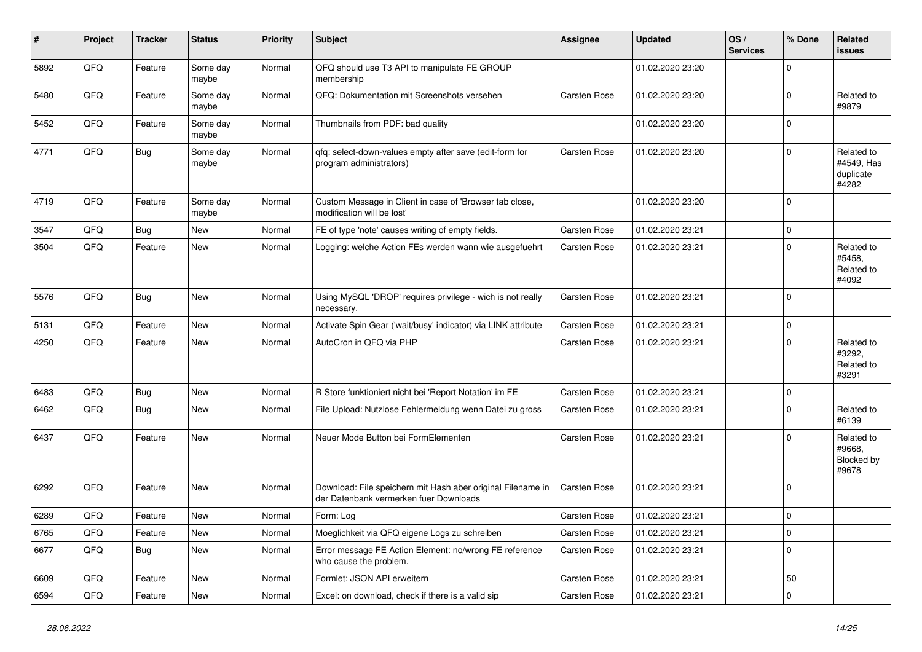| #    | Project | <b>Tracker</b> | <b>Status</b>     | <b>Priority</b> | <b>Subject</b>                                                                                        | Assignee            | <b>Updated</b>   | OS/<br><b>Services</b> | % Done         | Related<br>issues                              |
|------|---------|----------------|-------------------|-----------------|-------------------------------------------------------------------------------------------------------|---------------------|------------------|------------------------|----------------|------------------------------------------------|
| 5892 | QFQ     | Feature        | Some day<br>maybe | Normal          | QFQ should use T3 API to manipulate FE GROUP<br>membership                                            |                     | 01.02.2020 23:20 |                        | $\Omega$       |                                                |
| 5480 | QFQ     | Feature        | Some day<br>maybe | Normal          | QFQ: Dokumentation mit Screenshots versehen                                                           | Carsten Rose        | 01.02.2020 23:20 |                        | $\mathbf 0$    | Related to<br>#9879                            |
| 5452 | QFQ     | Feature        | Some day<br>maybe | Normal          | Thumbnails from PDF: bad quality                                                                      |                     | 01.02.2020 23:20 |                        | $\Omega$       |                                                |
| 4771 | QFQ     | <b>Bug</b>     | Some day<br>maybe | Normal          | qfq: select-down-values empty after save (edit-form for<br>program administrators)                    | <b>Carsten Rose</b> | 01.02.2020 23:20 |                        | $\Omega$       | Related to<br>#4549, Has<br>duplicate<br>#4282 |
| 4719 | QFQ     | Feature        | Some day<br>maybe | Normal          | Custom Message in Client in case of 'Browser tab close,<br>modification will be lost'                 |                     | 01.02.2020 23:20 |                        | $\overline{0}$ |                                                |
| 3547 | QFQ     | Bug            | <b>New</b>        | Normal          | FE of type 'note' causes writing of empty fields.                                                     | Carsten Rose        | 01.02.2020 23:21 |                        | $\mathbf 0$    |                                                |
| 3504 | QFQ     | Feature        | <b>New</b>        | Normal          | Logging: welche Action FEs werden wann wie ausgefuehrt                                                | Carsten Rose        | 01.02.2020 23:21 |                        | 0              | Related to<br>#5458,<br>Related to<br>#4092    |
| 5576 | QFQ     | Bug            | <b>New</b>        | Normal          | Using MySQL 'DROP' requires privilege - wich is not really<br>necessary.                              | Carsten Rose        | 01.02.2020 23:21 |                        | $\overline{0}$ |                                                |
| 5131 | QFQ     | Feature        | New               | Normal          | Activate Spin Gear ('wait/busy' indicator) via LINK attribute                                         | Carsten Rose        | 01.02.2020 23:21 |                        | $\mathbf 0$    |                                                |
| 4250 | QFQ     | Feature        | New               | Normal          | AutoCron in QFQ via PHP                                                                               | Carsten Rose        | 01.02.2020 23:21 |                        | $\Omega$       | Related to<br>#3292,<br>Related to<br>#3291    |
| 6483 | QFQ     | <b>Bug</b>     | <b>New</b>        | Normal          | R Store funktioniert nicht bei 'Report Notation' im FE                                                | <b>Carsten Rose</b> | 01.02.2020 23:21 |                        | 0              |                                                |
| 6462 | QFQ     | <b>Bug</b>     | New               | Normal          | File Upload: Nutzlose Fehlermeldung wenn Datei zu gross                                               | Carsten Rose        | 01.02.2020 23:21 |                        | $\Omega$       | Related to<br>#6139                            |
| 6437 | QFQ     | Feature        | New               | Normal          | Neuer Mode Button bei FormElementen                                                                   | Carsten Rose        | 01.02.2020 23:21 |                        | $\Omega$       | Related to<br>#9668,<br>Blocked by<br>#9678    |
| 6292 | QFQ     | Feature        | <b>New</b>        | Normal          | Download: File speichern mit Hash aber original Filename in<br>der Datenbank vermerken fuer Downloads | <b>Carsten Rose</b> | 01.02.2020 23:21 |                        | 0              |                                                |
| 6289 | QFQ     | Feature        | New               | Normal          | Form: Log                                                                                             | <b>Carsten Rose</b> | 01.02.2020 23:21 |                        | $\mathbf 0$    |                                                |
| 6765 | QFQ     | Feature        | New               | Normal          | Moeglichkeit via QFQ eigene Logs zu schreiben                                                         | Carsten Rose        | 01.02.2020 23:21 |                        | $\mathbf 0$    |                                                |
| 6677 | QFQ     | <b>Bug</b>     | New               | Normal          | Error message FE Action Element: no/wrong FE reference<br>who cause the problem.                      | Carsten Rose        | 01.02.2020 23:21 |                        | $\Omega$       |                                                |
| 6609 | QFQ     | Feature        | <b>New</b>        | Normal          | Formlet: JSON API erweitern                                                                           | Carsten Rose        | 01.02.2020 23:21 |                        | 50             |                                                |
| 6594 | QFQ     | Feature        | New               | Normal          | Excel: on download, check if there is a valid sip                                                     | <b>Carsten Rose</b> | 01.02.2020 23:21 |                        | 0              |                                                |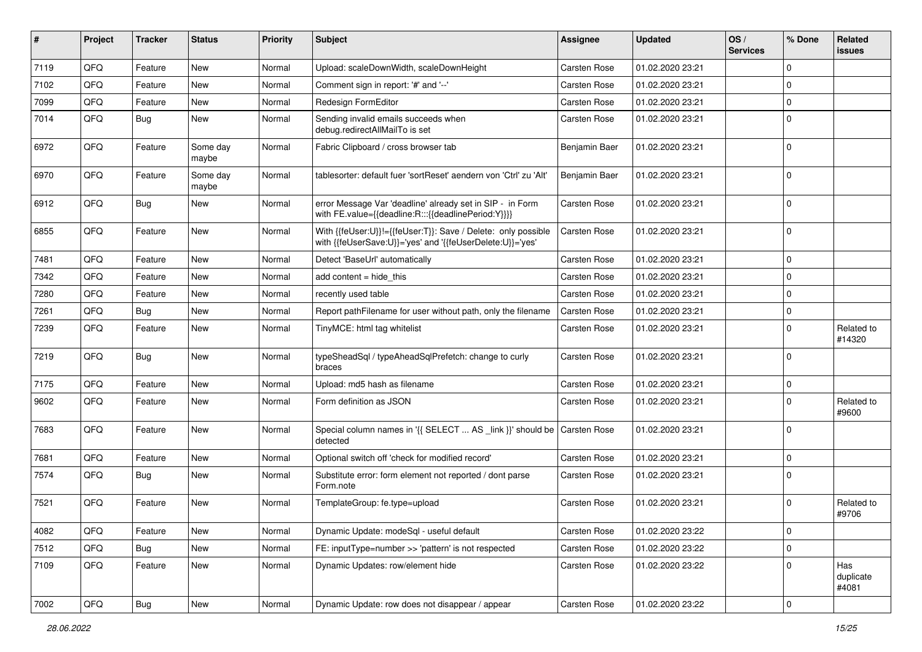| ∦    | Project | <b>Tracker</b> | <b>Status</b>     | <b>Priority</b> | <b>Subject</b>                                                                                                             | <b>Assignee</b> | <b>Updated</b>   | OS/<br><b>Services</b> | % Done              | Related<br>issues         |
|------|---------|----------------|-------------------|-----------------|----------------------------------------------------------------------------------------------------------------------------|-----------------|------------------|------------------------|---------------------|---------------------------|
| 7119 | QFQ     | Feature        | New               | Normal          | Upload: scaleDownWidth, scaleDownHeight                                                                                    | Carsten Rose    | 01.02.2020 23:21 |                        | $\mathbf 0$         |                           |
| 7102 | QFQ     | Feature        | <b>New</b>        | Normal          | Comment sign in report: '#' and '--'                                                                                       | Carsten Rose    | 01.02.2020 23:21 |                        | $\mathbf 0$         |                           |
| 7099 | QFQ     | Feature        | New               | Normal          | Redesign FormEditor                                                                                                        | Carsten Rose    | 01.02.2020 23:21 |                        | 0                   |                           |
| 7014 | QFQ     | Bug            | New               | Normal          | Sending invalid emails succeeds when<br>debug.redirectAllMailTo is set                                                     | Carsten Rose    | 01.02.2020 23:21 |                        | $\mathbf 0$         |                           |
| 6972 | QFQ     | Feature        | Some day<br>maybe | Normal          | Fabric Clipboard / cross browser tab                                                                                       | Benjamin Baer   | 01.02.2020 23:21 |                        | 0                   |                           |
| 6970 | QFQ     | Feature        | Some day<br>maybe | Normal          | tablesorter: default fuer 'sortReset' aendern von 'Ctrl' zu 'Alt'                                                          | Benjamin Baer   | 01.02.2020 23:21 |                        | $\mathbf 0$         |                           |
| 6912 | QFQ     | <b>Bug</b>     | New               | Normal          | error Message Var 'deadline' already set in SIP - in Form<br>with FE.value={{deadline:R:::{{deadlinePeriod:Y}}}}           | Carsten Rose    | 01.02.2020 23:21 |                        | $\mathbf 0$         |                           |
| 6855 | QFQ     | Feature        | New               | Normal          | With {{feUser:U}}!={{feUser:T}}: Save / Delete: only possible<br>with {{feUserSave:U}}='yes' and '{{feUserDelete:U}}='yes' | Carsten Rose    | 01.02.2020 23:21 |                        | $\mathbf 0$         |                           |
| 7481 | QFQ     | Feature        | New               | Normal          | Detect 'BaseUrl' automatically                                                                                             | Carsten Rose    | 01.02.2020 23:21 |                        | $\mathbf 0$         |                           |
| 7342 | QFQ     | Feature        | New               | Normal          | add content = hide_this                                                                                                    | Carsten Rose    | 01.02.2020 23:21 |                        | $\mathbf 0$         |                           |
| 7280 | QFQ     | Feature        | New               | Normal          | recently used table                                                                                                        | Carsten Rose    | 01.02.2020 23:21 |                        | $\mathbf 0$         |                           |
| 7261 | QFQ     | Bug            | <b>New</b>        | Normal          | Report pathFilename for user without path, only the filename                                                               | Carsten Rose    | 01.02.2020 23:21 |                        | 0                   |                           |
| 7239 | QFQ     | Feature        | New               | Normal          | TinyMCE: html tag whitelist                                                                                                | Carsten Rose    | 01.02.2020 23:21 |                        | 0                   | Related to<br>#14320      |
| 7219 | QFQ     | <b>Bug</b>     | New               | Normal          | typeSheadSql / typeAheadSqlPrefetch: change to curly<br>braces                                                             | Carsten Rose    | 01.02.2020 23:21 |                        | 0                   |                           |
| 7175 | QFQ     | Feature        | New               | Normal          | Upload: md5 hash as filename                                                                                               | Carsten Rose    | 01.02.2020 23:21 |                        | 0                   |                           |
| 9602 | QFQ     | Feature        | New               | Normal          | Form definition as JSON                                                                                                    | Carsten Rose    | 01.02.2020 23:21 |                        | 0                   | Related to<br>#9600       |
| 7683 | QFQ     | Feature        | New               | Normal          | Special column names in '{{ SELECT  AS _link }}' should be Carsten Rose<br>detected                                        |                 | 01.02.2020 23:21 |                        | $\mathbf 0$         |                           |
| 7681 | QFQ     | Feature        | New               | Normal          | Optional switch off 'check for modified record'                                                                            | Carsten Rose    | 01.02.2020 23:21 |                        | $\mathbf 0$         |                           |
| 7574 | QFQ     | Bug            | New               | Normal          | Substitute error: form element not reported / dont parse<br>Form.note                                                      | Carsten Rose    | 01.02.2020 23:21 |                        | 0                   |                           |
| 7521 | QFQ     | Feature        | New               | Normal          | TemplateGroup: fe.type=upload                                                                                              | Carsten Rose    | 01.02.2020 23:21 |                        | $\mathbf 0$         | Related to<br>#9706       |
| 4082 | QFG     | Feature        | New               | Normal          | Dynamic Update: modeSql - useful default                                                                                   | Carsten Rose    | 01.02.2020 23:22 |                        | $\mathbf 0$         |                           |
| 7512 | QFQ     | Bug            | New               | Normal          | FE: inputType=number >> 'pattern' is not respected                                                                         | Carsten Rose    | 01.02.2020 23:22 |                        | 0                   |                           |
| 7109 | QFQ     | Feature        | New               | Normal          | Dynamic Updates: row/element hide                                                                                          | Carsten Rose    | 01.02.2020 23:22 |                        | 0                   | Has<br>duplicate<br>#4081 |
| 7002 | QFQ     | <b>Bug</b>     | New               | Normal          | Dynamic Update: row does not disappear / appear                                                                            | Carsten Rose    | 01.02.2020 23:22 |                        | $\mathsf{O}\xspace$ |                           |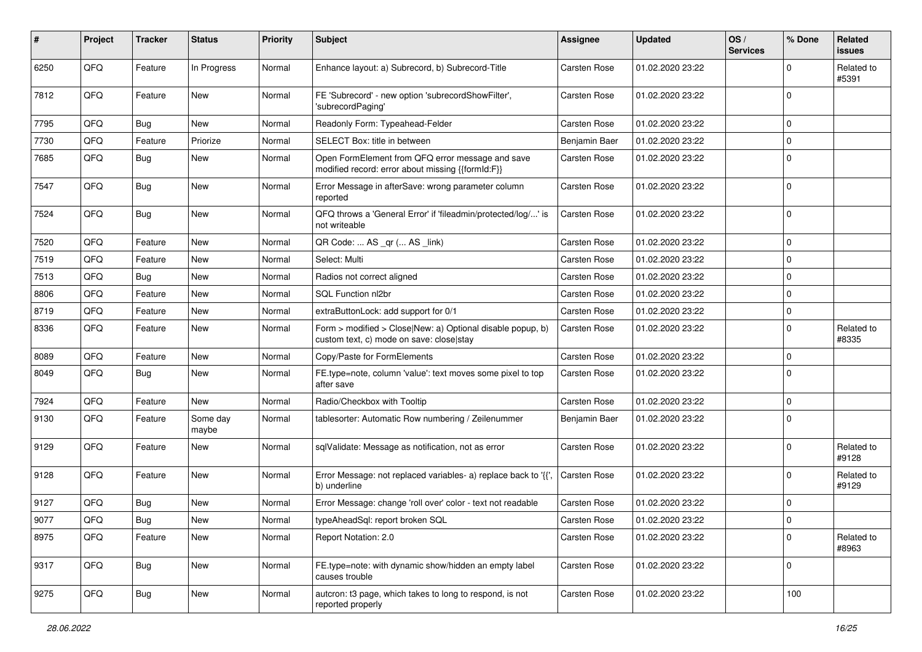| ∦    | Project        | <b>Tracker</b> | <b>Status</b>     | <b>Priority</b> | <b>Subject</b>                                                                                         | Assignee            | <b>Updated</b>   | OS/<br><b>Services</b> | % Done      | Related<br>issues   |
|------|----------------|----------------|-------------------|-----------------|--------------------------------------------------------------------------------------------------------|---------------------|------------------|------------------------|-------------|---------------------|
| 6250 | QFQ            | Feature        | In Progress       | Normal          | Enhance layout: a) Subrecord, b) Subrecord-Title                                                       | Carsten Rose        | 01.02.2020 23:22 |                        | $\mathbf 0$ | Related to<br>#5391 |
| 7812 | QFQ            | Feature        | New               | Normal          | FE 'Subrecord' - new option 'subrecordShowFilter',<br>'subrecordPaging'                                | Carsten Rose        | 01.02.2020 23:22 |                        | $\mathbf 0$ |                     |
| 7795 | QFQ            | Bug            | New               | Normal          | Readonly Form: Typeahead-Felder                                                                        | Carsten Rose        | 01.02.2020 23:22 |                        | $\mathbf 0$ |                     |
| 7730 | QFQ            | Feature        | Priorize          | Normal          | SELECT Box: title in between                                                                           | Benjamin Baer       | 01.02.2020 23:22 |                        | 0           |                     |
| 7685 | QFQ            | Bug            | New               | Normal          | Open FormElement from QFQ error message and save<br>modified record: error about missing {{formId:F}}  | Carsten Rose        | 01.02.2020 23:22 |                        | 0           |                     |
| 7547 | QFQ            | Bug            | New               | Normal          | Error Message in afterSave: wrong parameter column<br>reported                                         | Carsten Rose        | 01.02.2020 23:22 |                        | $\mathbf 0$ |                     |
| 7524 | QFQ            | Bug            | New               | Normal          | QFQ throws a 'General Error' if 'fileadmin/protected/log/' is<br>not writeable                         | Carsten Rose        | 01.02.2020 23:22 |                        | 0           |                     |
| 7520 | QFQ            | Feature        | New               | Normal          | QR Code:  AS _qr ( AS _link)                                                                           | Carsten Rose        | 01.02.2020 23:22 |                        | 0           |                     |
| 7519 | QFQ            | Feature        | New               | Normal          | Select: Multi                                                                                          | Carsten Rose        | 01.02.2020 23:22 |                        | $\mathbf 0$ |                     |
| 7513 | QFQ            | Bug            | New               | Normal          | Radios not correct aligned                                                                             | Carsten Rose        | 01.02.2020 23:22 |                        | 0           |                     |
| 8806 | QFQ            | Feature        | New               | Normal          | SQL Function nl2br                                                                                     | Carsten Rose        | 01.02.2020 23:22 |                        | 0           |                     |
| 8719 | QFQ            | Feature        | New               | Normal          | extraButtonLock: add support for 0/1                                                                   | <b>Carsten Rose</b> | 01.02.2020 23:22 |                        | 0           |                     |
| 8336 | QFQ            | Feature        | New               | Normal          | Form > modified > Close New: a) Optional disable popup, b)<br>custom text, c) mode on save: close stay | Carsten Rose        | 01.02.2020 23:22 |                        | 0           | Related to<br>#8335 |
| 8089 | QFQ            | Feature        | New               | Normal          | Copy/Paste for FormElements                                                                            | Carsten Rose        | 01.02.2020 23:22 |                        | 0           |                     |
| 8049 | QFQ            | <b>Bug</b>     | New               | Normal          | FE.type=note, column 'value': text moves some pixel to top<br>after save                               | Carsten Rose        | 01.02.2020 23:22 |                        | 0           |                     |
| 7924 | QFQ            | Feature        | New               | Normal          | Radio/Checkbox with Tooltip                                                                            | Carsten Rose        | 01.02.2020 23:22 |                        | $\mathbf 0$ |                     |
| 9130 | QFQ            | Feature        | Some day<br>maybe | Normal          | tablesorter: Automatic Row numbering / Zeilenummer                                                     | Benjamin Baer       | 01.02.2020 23:22 |                        | 0           |                     |
| 9129 | QFQ            | Feature        | New               | Normal          | sqlValidate: Message as notification, not as error                                                     | Carsten Rose        | 01.02.2020 23:22 |                        | 0           | Related to<br>#9128 |
| 9128 | QFQ            | Feature        | New               | Normal          | Error Message: not replaced variables- a) replace back to '{',<br>b) underline                         | <b>Carsten Rose</b> | 01.02.2020 23:22 |                        | 0           | Related to<br>#9129 |
| 9127 | QFQ            | Bug            | New               | Normal          | Error Message: change 'roll over' color - text not readable                                            | Carsten Rose        | 01.02.2020 23:22 |                        | 0           |                     |
| 9077 | $\mathsf{QFQ}$ | Bug            | New               | Normal          | typeAheadSql: report broken SQL                                                                        | Carsten Rose        | 01.02.2020 23:22 |                        | 0           |                     |
| 8975 | QFQ            | Feature        | New               | Normal          | Report Notation: 2.0                                                                                   | Carsten Rose        | 01.02.2020 23:22 |                        | 0           | Related to<br>#8963 |
| 9317 | QFQ            | <b>Bug</b>     | New               | Normal          | FE.type=note: with dynamic show/hidden an empty label<br>causes trouble                                | Carsten Rose        | 01.02.2020 23:22 |                        | 0           |                     |
| 9275 | QFQ            | <b>Bug</b>     | New               | Normal          | autcron: t3 page, which takes to long to respond, is not<br>reported properly                          | Carsten Rose        | 01.02.2020 23:22 |                        | 100         |                     |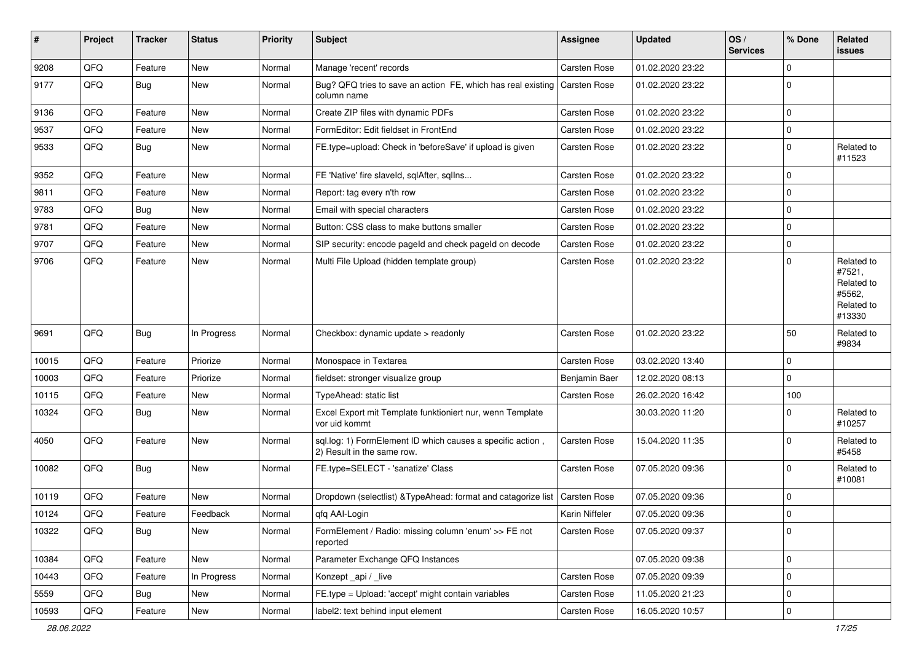| #     | Project | <b>Tracker</b> | <b>Status</b> | <b>Priority</b> | Subject                                                                                  | <b>Assignee</b>     | <b>Updated</b>   | OS/<br><b>Services</b> | % Done      | Related<br>issues                                                    |
|-------|---------|----------------|---------------|-----------------|------------------------------------------------------------------------------------------|---------------------|------------------|------------------------|-------------|----------------------------------------------------------------------|
| 9208  | QFQ     | Feature        | New           | Normal          | Manage 'recent' records                                                                  | Carsten Rose        | 01.02.2020 23:22 |                        | 0           |                                                                      |
| 9177  | QFQ     | Bug            | New           | Normal          | Bug? QFQ tries to save an action FE, which has real existing Carsten Rose<br>column name |                     | 01.02.2020 23:22 |                        | $\mathbf 0$ |                                                                      |
| 9136  | QFQ     | Feature        | New           | Normal          | Create ZIP files with dynamic PDFs                                                       | Carsten Rose        | 01.02.2020 23:22 |                        | 0           |                                                                      |
| 9537  | QFQ     | Feature        | New           | Normal          | FormEditor: Edit fieldset in FrontEnd                                                    | Carsten Rose        | 01.02.2020 23:22 |                        | 0           |                                                                      |
| 9533  | QFQ     | Bug            | New           | Normal          | FE.type=upload: Check in 'beforeSave' if upload is given                                 | Carsten Rose        | 01.02.2020 23:22 |                        | 0           | Related to<br>#11523                                                 |
| 9352  | QFQ     | Feature        | New           | Normal          | FE 'Native' fire slaveld, sqlAfter, sqlIns                                               | Carsten Rose        | 01.02.2020 23:22 |                        | 0           |                                                                      |
| 9811  | QFQ     | Feature        | New           | Normal          | Report: tag every n'th row                                                               | Carsten Rose        | 01.02.2020 23:22 |                        | 0           |                                                                      |
| 9783  | QFQ     | Bug            | New           | Normal          | Email with special characters                                                            | Carsten Rose        | 01.02.2020 23:22 |                        | $\mathbf 0$ |                                                                      |
| 9781  | QFQ     | Feature        | New           | Normal          | Button: CSS class to make buttons smaller                                                | <b>Carsten Rose</b> | 01.02.2020 23:22 |                        | 0           |                                                                      |
| 9707  | QFQ     | Feature        | New           | Normal          | SIP security: encode pageld and check pageld on decode                                   | Carsten Rose        | 01.02.2020 23:22 |                        | 0           |                                                                      |
| 9706  | QFQ     | Feature        | New           | Normal          | Multi File Upload (hidden template group)                                                | Carsten Rose        | 01.02.2020 23:22 |                        | 0           | Related to<br>#7521,<br>Related to<br>#5562,<br>Related to<br>#13330 |
| 9691  | QFQ     | Bug            | In Progress   | Normal          | Checkbox: dynamic update > readonly                                                      | <b>Carsten Rose</b> | 01.02.2020 23:22 |                        | 50          | Related to<br>#9834                                                  |
| 10015 | QFQ     | Feature        | Priorize      | Normal          | Monospace in Textarea                                                                    | Carsten Rose        | 03.02.2020 13:40 |                        | $\mathbf 0$ |                                                                      |
| 10003 | QFQ     | Feature        | Priorize      | Normal          | fieldset: stronger visualize group                                                       | Benjamin Baer       | 12.02.2020 08:13 |                        | $\mathbf 0$ |                                                                      |
| 10115 | QFQ     | Feature        | New           | Normal          | TypeAhead: static list                                                                   | Carsten Rose        | 26.02.2020 16:42 |                        | 100         |                                                                      |
| 10324 | QFQ     | Bug            | New           | Normal          | Excel Export mit Template funktioniert nur, wenn Template<br>vor uid kommt               |                     | 30.03.2020 11:20 |                        | 0           | Related to<br>#10257                                                 |
| 4050  | QFQ     | Feature        | New           | Normal          | sql.log: 1) FormElement ID which causes a specific action,<br>2) Result in the same row. | Carsten Rose        | 15.04.2020 11:35 |                        | $\mathbf 0$ | Related to<br>#5458                                                  |
| 10082 | QFQ     | <b>Bug</b>     | New           | Normal          | FE.type=SELECT - 'sanatize' Class                                                        | Carsten Rose        | 07.05.2020 09:36 |                        | $\mathbf 0$ | Related to<br>#10081                                                 |
| 10119 | QFQ     | Feature        | New           | Normal          | Dropdown (selectlist) & Type Ahead: format and catagorize list                           | <b>Carsten Rose</b> | 07.05.2020 09:36 |                        | 0           |                                                                      |
| 10124 | QFQ     | Feature        | Feedback      | Normal          | qfq AAI-Login                                                                            | Karin Niffeler      | 07.05.2020 09:36 |                        | 0           |                                                                      |
| 10322 | QFQ     | <b>Bug</b>     | New           | Normal          | FormElement / Radio: missing column 'enum' >> FE not<br>reported                         | Carsten Rose        | 07.05.2020 09:37 |                        | $\mathbf 0$ |                                                                      |
| 10384 | QFQ     | Feature        | New           | Normal          | Parameter Exchange QFQ Instances                                                         |                     | 07.05.2020 09:38 |                        | 0           |                                                                      |
| 10443 | QFQ     | Feature        | In Progress   | Normal          | Konzept_api / _live                                                                      | Carsten Rose        | 07.05.2020 09:39 |                        | 0           |                                                                      |
| 5559  | QFQ     | <b>Bug</b>     | New           | Normal          | FE.type = Upload: 'accept' might contain variables                                       | Carsten Rose        | 11.05.2020 21:23 |                        | 0           |                                                                      |
| 10593 | QFG     | Feature        | New           | Normal          | label2: text behind input element                                                        | Carsten Rose        | 16.05.2020 10:57 |                        | $\mathbf 0$ |                                                                      |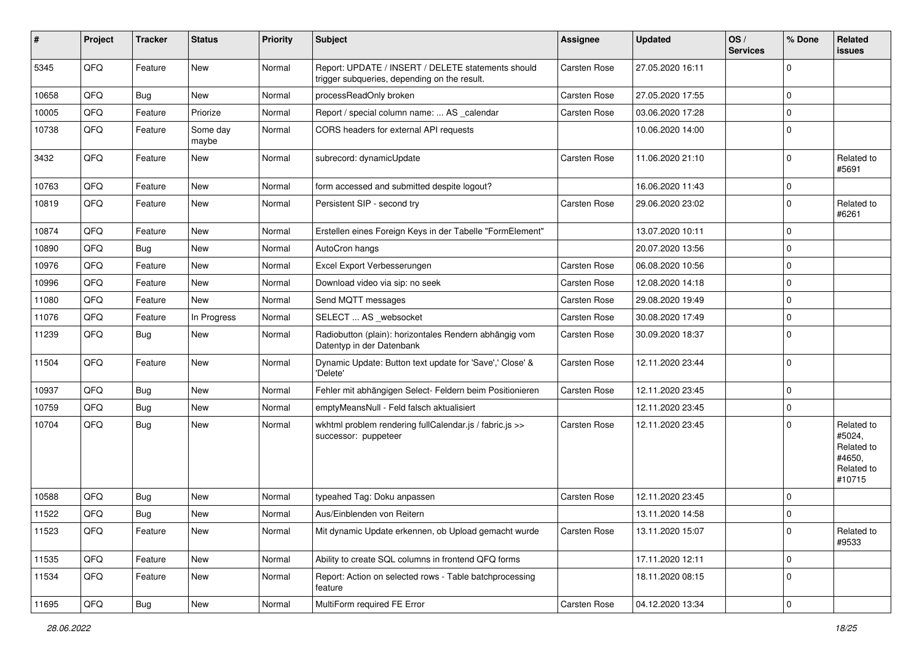| #     | Project | <b>Tracker</b> | <b>Status</b>     | <b>Priority</b> | <b>Subject</b>                                                                                     | Assignee            | <b>Updated</b>   | OS/<br><b>Services</b> | % Done              | Related<br>issues                                                    |
|-------|---------|----------------|-------------------|-----------------|----------------------------------------------------------------------------------------------------|---------------------|------------------|------------------------|---------------------|----------------------------------------------------------------------|
| 5345  | QFQ     | Feature        | <b>New</b>        | Normal          | Report: UPDATE / INSERT / DELETE statements should<br>trigger subqueries, depending on the result. | Carsten Rose        | 27.05.2020 16:11 |                        | $\mathbf 0$         |                                                                      |
| 10658 | QFQ     | Bug            | <b>New</b>        | Normal          | processReadOnly broken                                                                             | Carsten Rose        | 27.05.2020 17:55 |                        | $\mathbf 0$         |                                                                      |
| 10005 | QFQ     | Feature        | Priorize          | Normal          | Report / special column name:  AS _calendar                                                        | <b>Carsten Rose</b> | 03.06.2020 17:28 |                        | $\mathbf 0$         |                                                                      |
| 10738 | QFQ     | Feature        | Some day<br>maybe | Normal          | CORS headers for external API requests                                                             |                     | 10.06.2020 14:00 |                        | $\Omega$            |                                                                      |
| 3432  | QFQ     | Feature        | <b>New</b>        | Normal          | subrecord: dynamicUpdate                                                                           | Carsten Rose        | 11.06.2020 21:10 |                        | $\Omega$            | Related to<br>#5691                                                  |
| 10763 | QFQ     | Feature        | <b>New</b>        | Normal          | form accessed and submitted despite logout?                                                        |                     | 16.06.2020 11:43 |                        | $\mathbf 0$         |                                                                      |
| 10819 | QFQ     | Feature        | New               | Normal          | Persistent SIP - second try                                                                        | Carsten Rose        | 29.06.2020 23:02 |                        | $\mathbf 0$         | Related to<br>#6261                                                  |
| 10874 | QFQ     | Feature        | <b>New</b>        | Normal          | Erstellen eines Foreign Keys in der Tabelle "FormElement"                                          |                     | 13.07.2020 10:11 |                        | $\mathbf 0$         |                                                                      |
| 10890 | QFQ     | Bug            | New               | Normal          | AutoCron hangs                                                                                     |                     | 20.07.2020 13:56 |                        | $\mathbf 0$         |                                                                      |
| 10976 | QFQ     | Feature        | New               | Normal          | Excel Export Verbesserungen                                                                        | Carsten Rose        | 06.08.2020 10:56 |                        | $\mathbf 0$         |                                                                      |
| 10996 | QFQ     | Feature        | <b>New</b>        | Normal          | Download video via sip: no seek                                                                    | Carsten Rose        | 12.08.2020 14:18 |                        | $\mathbf 0$         |                                                                      |
| 11080 | QFQ     | Feature        | <b>New</b>        | Normal          | Send MQTT messages                                                                                 | Carsten Rose        | 29.08.2020 19:49 |                        | $\mathbf 0$         |                                                                      |
| 11076 | QFQ     | Feature        | In Progress       | Normal          | SELECT  AS _websocket                                                                              | Carsten Rose        | 30.08.2020 17:49 |                        | $\mathbf 0$         |                                                                      |
| 11239 | QFQ     | <b>Bug</b>     | <b>New</b>        | Normal          | Radiobutton (plain): horizontales Rendern abhängig vom<br>Datentyp in der Datenbank                | Carsten Rose        | 30.09.2020 18:37 |                        | $\Omega$            |                                                                      |
| 11504 | QFQ     | Feature        | <b>New</b>        | Normal          | Dynamic Update: Button text update for 'Save',' Close' &<br>'Delete'                               | Carsten Rose        | 12.11.2020 23:44 |                        | $\mathbf 0$         |                                                                      |
| 10937 | QFQ     | Bug            | <b>New</b>        | Normal          | Fehler mit abhängigen Select- Feldern beim Positionieren                                           | Carsten Rose        | 12.11.2020 23:45 |                        | $\mathbf 0$         |                                                                      |
| 10759 | QFQ     | <b>Bug</b>     | <b>New</b>        | Normal          | emptyMeansNull - Feld falsch aktualisiert                                                          |                     | 12.11.2020 23:45 |                        | $\mathbf 0$         |                                                                      |
| 10704 | QFQ     | Bug            | New               | Normal          | wkhtml problem rendering fullCalendar.js / fabric.js >><br>successor: puppeteer                    | Carsten Rose        | 12.11.2020 23:45 |                        | $\Omega$            | Related to<br>#5024,<br>Related to<br>#4650,<br>Related to<br>#10715 |
| 10588 | QFQ     | <b>Bug</b>     | <b>New</b>        | Normal          | typeahed Tag: Doku anpassen                                                                        | Carsten Rose        | 12.11.2020 23:45 |                        | $\mathbf 0$         |                                                                      |
| 11522 | QFQ     | <b>Bug</b>     | New               | Normal          | Aus/Einblenden von Reitern                                                                         |                     | 13.11.2020 14:58 |                        | $\mathbf 0$         |                                                                      |
| 11523 | QFQ     | Feature        | New               | Normal          | Mit dynamic Update erkennen, ob Upload gemacht wurde                                               | Carsten Rose        | 13.11.2020 15:07 |                        | $\mathbf 0$         | Related to<br>#9533                                                  |
| 11535 | QFQ     | Feature        | New               | Normal          | Ability to create SQL columns in frontend QFQ forms                                                |                     | 17.11.2020 12:11 |                        | $\mathbf 0$         |                                                                      |
| 11534 | QFQ     | Feature        | New               | Normal          | Report: Action on selected rows - Table batchprocessing<br>feature                                 |                     | 18.11.2020 08:15 |                        | $\mathbf 0$         |                                                                      |
| 11695 | QFG     | <b>Bug</b>     | New               | Normal          | MultiForm required FE Error                                                                        | Carsten Rose        | 04.12.2020 13:34 |                        | $\mathsf{O}\xspace$ |                                                                      |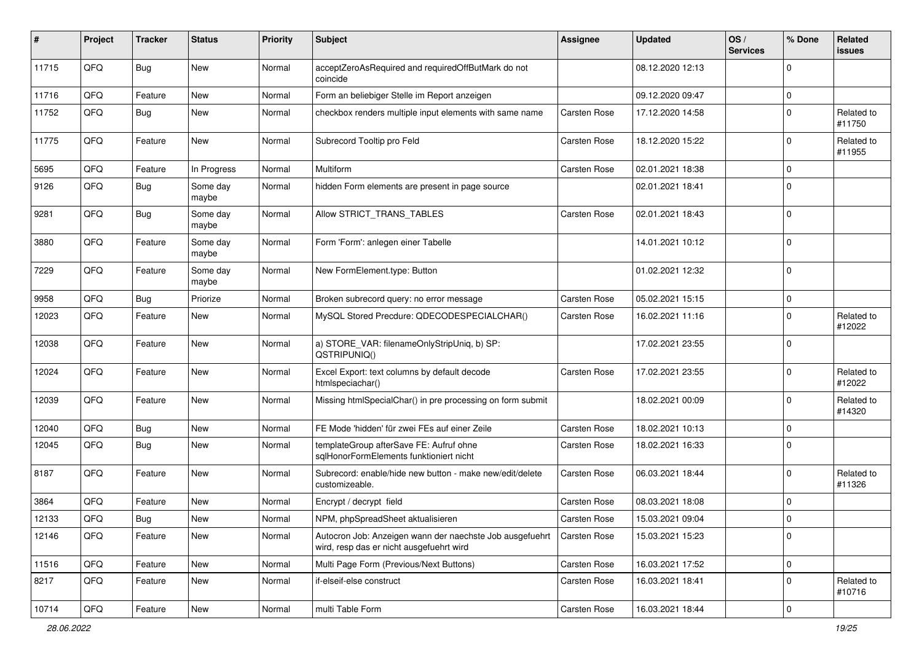| #     | Project | <b>Tracker</b> | <b>Status</b>     | <b>Priority</b> | <b>Subject</b>                                                                                       | <b>Assignee</b>     | <b>Updated</b>   | OS/<br><b>Services</b> | % Done      | Related<br>issues    |
|-------|---------|----------------|-------------------|-----------------|------------------------------------------------------------------------------------------------------|---------------------|------------------|------------------------|-------------|----------------------|
| 11715 | QFQ     | <b>Bug</b>     | New               | Normal          | acceptZeroAsRequired and requiredOffButMark do not<br>coincide                                       |                     | 08.12.2020 12:13 |                        | $\Omega$    |                      |
| 11716 | QFQ     | Feature        | New               | Normal          | Form an beliebiger Stelle im Report anzeigen                                                         |                     | 09.12.2020 09:47 |                        | 0           |                      |
| 11752 | QFQ     | Bug            | New               | Normal          | checkbox renders multiple input elements with same name                                              | Carsten Rose        | 17.12.2020 14:58 |                        | $\Omega$    | Related to<br>#11750 |
| 11775 | QFQ     | Feature        | New               | Normal          | Subrecord Tooltip pro Feld                                                                           | Carsten Rose        | 18.12.2020 15:22 |                        | $\Omega$    | Related to<br>#11955 |
| 5695  | QFQ     | Feature        | In Progress       | Normal          | Multiform                                                                                            | <b>Carsten Rose</b> | 02.01.2021 18:38 |                        | $\Omega$    |                      |
| 9126  | QFQ     | Bug            | Some day<br>maybe | Normal          | hidden Form elements are present in page source                                                      |                     | 02.01.2021 18:41 |                        | 0           |                      |
| 9281  | QFQ     | <b>Bug</b>     | Some day<br>maybe | Normal          | Allow STRICT_TRANS_TABLES                                                                            | Carsten Rose        | 02.01.2021 18:43 |                        | $\mathbf 0$ |                      |
| 3880  | QFQ     | Feature        | Some day<br>maybe | Normal          | Form 'Form': anlegen einer Tabelle                                                                   |                     | 14.01.2021 10:12 |                        | $\Omega$    |                      |
| 7229  | QFQ     | Feature        | Some day<br>maybe | Normal          | New FormElement.type: Button                                                                         |                     | 01.02.2021 12:32 |                        | $\Omega$    |                      |
| 9958  | QFQ     | Bug            | Priorize          | Normal          | Broken subrecord query: no error message                                                             | <b>Carsten Rose</b> | 05.02.2021 15:15 |                        | $\mathbf 0$ |                      |
| 12023 | QFQ     | Feature        | New               | Normal          | MySQL Stored Precdure: QDECODESPECIALCHAR()                                                          | Carsten Rose        | 16.02.2021 11:16 |                        | $\Omega$    | Related to<br>#12022 |
| 12038 | QFQ     | Feature        | New               | Normal          | a) STORE_VAR: filenameOnlyStripUniq, b) SP:<br>QSTRIPUNIQ()                                          |                     | 17.02.2021 23:55 |                        | $\mathbf 0$ |                      |
| 12024 | QFQ     | Feature        | New               | Normal          | Excel Export: text columns by default decode<br>htmlspeciachar()                                     | <b>Carsten Rose</b> | 17.02.2021 23:55 |                        | $\Omega$    | Related to<br>#12022 |
| 12039 | QFQ     | Feature        | <b>New</b>        | Normal          | Missing htmlSpecialChar() in pre processing on form submit                                           |                     | 18.02.2021 00:09 |                        | $\Omega$    | Related to<br>#14320 |
| 12040 | QFQ     | Bug            | New               | Normal          | FE Mode 'hidden' für zwei FEs auf einer Zeile                                                        | <b>Carsten Rose</b> | 18.02.2021 10:13 |                        | $\mathbf 0$ |                      |
| 12045 | QFQ     | Bug            | New               | Normal          | templateGroup afterSave FE: Aufruf ohne<br>sglHonorFormElements funktioniert nicht                   | Carsten Rose        | 18.02.2021 16:33 |                        | $\Omega$    |                      |
| 8187  | QFQ     | Feature        | New               | Normal          | Subrecord: enable/hide new button - make new/edit/delete<br>customizeable.                           | <b>Carsten Rose</b> | 06.03.2021 18:44 |                        | $\Omega$    | Related to<br>#11326 |
| 3864  | QFQ     | Feature        | New               | Normal          | Encrypt / decrypt field                                                                              | <b>Carsten Rose</b> | 08.03.2021 18:08 |                        | $\Omega$    |                      |
| 12133 | QFQ     | Bug            | New               | Normal          | NPM, phpSpreadSheet aktualisieren                                                                    | <b>Carsten Rose</b> | 15.03.2021 09:04 |                        | l O         |                      |
| 12146 | QFQ     | Feature        | New               | Normal          | Autocron Job: Anzeigen wann der naechste Job ausgefuehrt<br>wird, resp das er nicht ausgefuehrt wird | Carsten Rose        | 15.03.2021 15:23 |                        | 0           |                      |
| 11516 | QFQ     | Feature        | New               | Normal          | Multi Page Form (Previous/Next Buttons)                                                              | Carsten Rose        | 16.03.2021 17:52 |                        | 0           |                      |
| 8217  | QFQ     | Feature        | New               | Normal          | if-elseif-else construct                                                                             | Carsten Rose        | 16.03.2021 18:41 |                        | $\mathbf 0$ | Related to<br>#10716 |
| 10714 | QFG     | Feature        | New               | Normal          | multi Table Form                                                                                     | Carsten Rose        | 16.03.2021 18:44 |                        | $\mathbf 0$ |                      |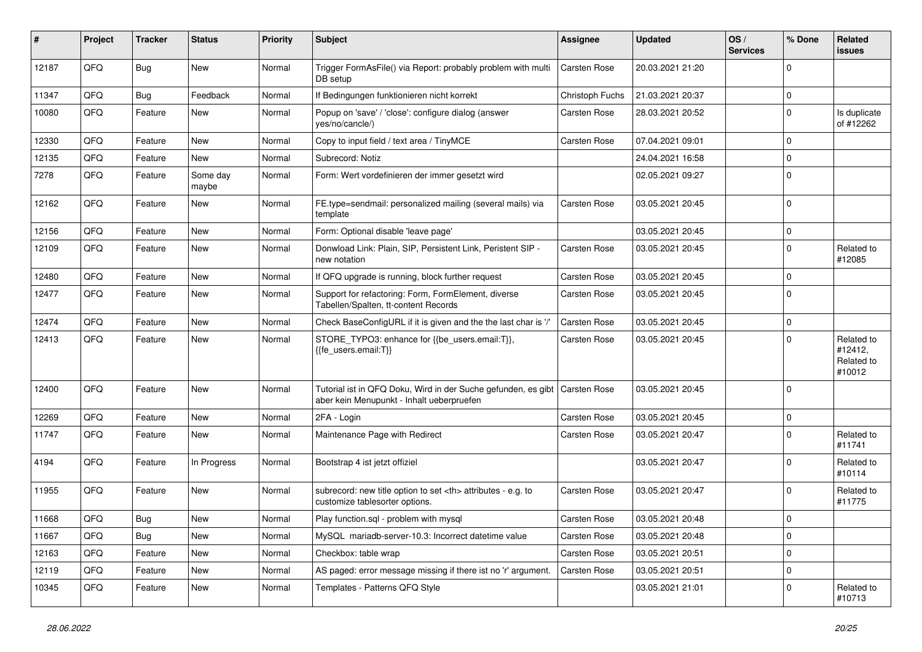| #     | Project | <b>Tracker</b> | <b>Status</b>     | <b>Priority</b> | <b>Subject</b>                                                                                                            | <b>Assignee</b>                                        | <b>Updated</b>      | OS/<br><b>Services</b> | % Done      | Related<br>issues                             |                      |
|-------|---------|----------------|-------------------|-----------------|---------------------------------------------------------------------------------------------------------------------------|--------------------------------------------------------|---------------------|------------------------|-------------|-----------------------------------------------|----------------------|
| 12187 | QFQ     | <b>Bug</b>     | <b>New</b>        | Normal          | Trigger FormAsFile() via Report: probably problem with multi<br>DB setup                                                  | Carsten Rose                                           | 20.03.2021 21:20    |                        | $\Omega$    |                                               |                      |
| 11347 | QFQ     | <b>Bug</b>     | Feedback          | Normal          | If Bedingungen funktionieren nicht korrekt                                                                                | Christoph Fuchs                                        | 21.03.2021 20:37    |                        | $\mathbf 0$ |                                               |                      |
| 10080 | QFQ     | Feature        | <b>New</b>        | Normal          | Popup on 'save' / 'close': configure dialog (answer<br>yes/no/cancle/)                                                    | Carsten Rose                                           | 28.03.2021 20:52    |                        | $\mathbf 0$ | Is duplicate<br>of #12262                     |                      |
| 12330 | QFQ     | Feature        | New               | Normal          | Copy to input field / text area / TinyMCE                                                                                 | <b>Carsten Rose</b>                                    | 07.04.2021 09:01    |                        | $\Omega$    |                                               |                      |
| 12135 | QFQ     | Feature        | <b>New</b>        | Normal          | Subrecord: Notiz                                                                                                          |                                                        | 24.04.2021 16:58    |                        | $\mathbf 0$ |                                               |                      |
| 7278  | QFQ     | Feature        | Some day<br>maybe | Normal          | Form: Wert vordefinieren der immer gesetzt wird                                                                           |                                                        | 02.05.2021 09:27    |                        | $\Omega$    |                                               |                      |
| 12162 | QFQ     | Feature        | <b>New</b>        | Normal          | FE.type=sendmail: personalized mailing (several mails) via<br>template                                                    | Carsten Rose                                           | 03.05.2021 20:45    |                        | $\Omega$    |                                               |                      |
| 12156 | QFQ     | Feature        | <b>New</b>        | Normal          | Form: Optional disable 'leave page'                                                                                       |                                                        | 03.05.2021 20:45    |                        | $\mathbf 0$ |                                               |                      |
| 12109 | QFQ     | Feature        | <b>New</b>        | Normal          | Donwload Link: Plain, SIP, Persistent Link, Peristent SIP -<br>new notation                                               | Carsten Rose                                           | 03.05.2021 20:45    |                        | $\Omega$    | Related to<br>#12085                          |                      |
| 12480 | QFQ     | Feature        | New               | Normal          | If QFQ upgrade is running, block further request                                                                          | Carsten Rose                                           | 03.05.2021 20:45    |                        | $\Omega$    |                                               |                      |
| 12477 | QFQ     | Feature        | New               | Normal          | Support for refactoring: Form, FormElement, diverse<br>Tabellen/Spalten, tt-content Records                               | Carsten Rose                                           | 03.05.2021 20:45    |                        | $\Omega$    |                                               |                      |
| 12474 | QFQ     | Feature        | <b>New</b>        | Normal          | Check BaseConfigURL if it is given and the the last char is '/'                                                           | <b>Carsten Rose</b>                                    | 03.05.2021 20:45    |                        | $\mathbf 0$ |                                               |                      |
| 12413 | QFQ     | Feature        | New               | Normal          | STORE_TYPO3: enhance for {{be_users.email:T}},<br>{{fe_users.email:T}}                                                    | Carsten Rose                                           | 03.05.2021 20:45    |                        | $\Omega$    | Related to<br>#12412,<br>Related to<br>#10012 |                      |
| 12400 | QFQ     | Feature        | <b>New</b>        | Normal          | Tutorial ist in QFQ Doku, Wird in der Suche gefunden, es gibt   Carsten Rose<br>aber kein Menupunkt - Inhalt ueberpruefen |                                                        | 03.05.2021 20:45    |                        | $\Omega$    |                                               |                      |
| 12269 | QFQ     | Feature        | <b>New</b>        | Normal          | 2FA - Login                                                                                                               | Carsten Rose                                           | 03.05.2021 20:45    |                        | $\mathbf 0$ |                                               |                      |
| 11747 | QFQ     | Feature        | New               | Normal          | Maintenance Page with Redirect                                                                                            | Carsten Rose                                           | 03.05.2021 20:47    |                        | $\Omega$    | Related to<br>#11741                          |                      |
| 4194  | QFQ     | Feature        | In Progress       | Normal          | Bootstrap 4 ist jetzt offiziel                                                                                            |                                                        | 03.05.2021 20:47    |                        | $\mathbf 0$ | Related to<br>#10114                          |                      |
| 11955 | QFQ     | Feature        | New               | Normal          | subrecord: new title option to set <th> attributes - e.g. to<br/>customize tablesorter options.</th>                      | attributes - e.g. to<br>customize tablesorter options. | <b>Carsten Rose</b> | 03.05.2021 20:47       |             | $\Omega$                                      | Related to<br>#11775 |
| 11668 | QFQ     | Bug            | New               | Normal          | Play function.sql - problem with mysql                                                                                    | Carsten Rose                                           | 03.05.2021 20:48    |                        | ۱n          |                                               |                      |
| 11667 | QFQ     | <b>Bug</b>     | New               | Normal          | MySQL mariadb-server-10.3: Incorrect datetime value                                                                       | Carsten Rose                                           | 03.05.2021 20:48    |                        | l 0         |                                               |                      |
| 12163 | QFQ     | Feature        | New               | Normal          | Checkbox: table wrap                                                                                                      | Carsten Rose                                           | 03.05.2021 20:51    |                        | $\mathbf 0$ |                                               |                      |
| 12119 | QFQ     | Feature        | New               | Normal          | AS paged: error message missing if there ist no 'r' argument.                                                             | Carsten Rose                                           | 03.05.2021 20:51    |                        | $\mathbf 0$ |                                               |                      |
| 10345 | QFQ     | Feature        | New               | Normal          | Templates - Patterns QFQ Style                                                                                            |                                                        | 03.05.2021 21:01    |                        | 0           | Related to<br>#10713                          |                      |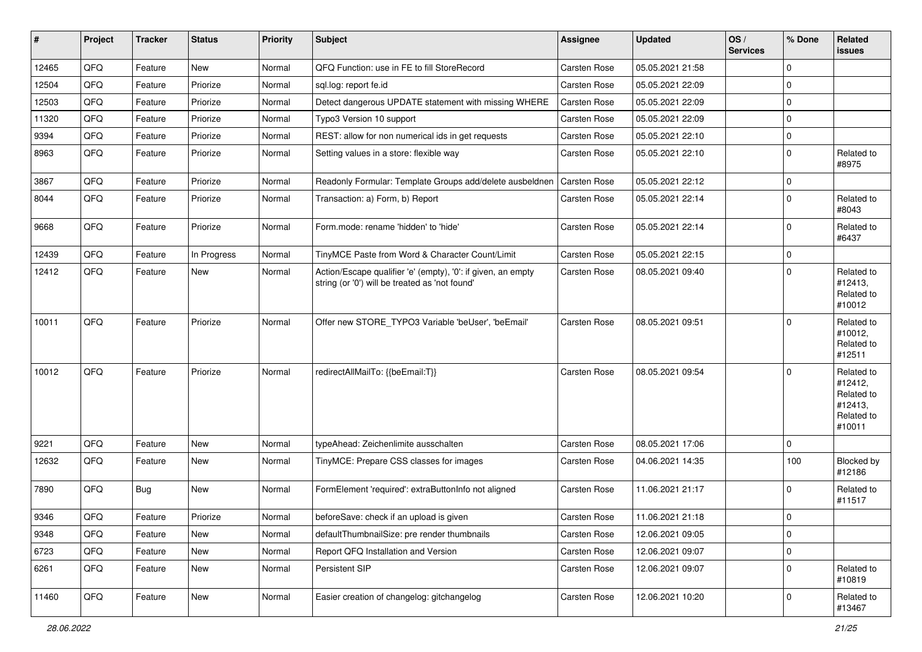| #     | Project | <b>Tracker</b> | <b>Status</b> | <b>Priority</b> | Subject                                                                                                        | <b>Assignee</b>     | <b>Updated</b>   | OS/<br><b>Services</b> | % Done      | Related<br><b>issues</b>                                               |
|-------|---------|----------------|---------------|-----------------|----------------------------------------------------------------------------------------------------------------|---------------------|------------------|------------------------|-------------|------------------------------------------------------------------------|
| 12465 | QFQ     | Feature        | <b>New</b>    | Normal          | QFQ Function: use in FE to fill StoreRecord                                                                    | <b>Carsten Rose</b> | 05.05.2021 21:58 |                        | $\Omega$    |                                                                        |
| 12504 | QFQ     | Feature        | Priorize      | Normal          | sql.log: report fe.id                                                                                          | <b>Carsten Rose</b> | 05.05.2021 22:09 |                        | $\mathbf 0$ |                                                                        |
| 12503 | QFQ     | Feature        | Priorize      | Normal          | Detect dangerous UPDATE statement with missing WHERE                                                           | <b>Carsten Rose</b> | 05.05.2021 22:09 |                        | $\Omega$    |                                                                        |
| 11320 | QFQ     | Feature        | Priorize      | Normal          | Typo3 Version 10 support                                                                                       | <b>Carsten Rose</b> | 05.05.2021 22:09 |                        | $\mathbf 0$ |                                                                        |
| 9394  | QFQ     | Feature        | Priorize      | Normal          | REST: allow for non numerical ids in get requests                                                              | Carsten Rose        | 05.05.2021 22:10 |                        | $\mathbf 0$ |                                                                        |
| 8963  | QFQ     | Feature        | Priorize      | Normal          | Setting values in a store: flexible way                                                                        | <b>Carsten Rose</b> | 05.05.2021 22:10 |                        | $\mathbf 0$ | Related to<br>#8975                                                    |
| 3867  | QFQ     | Feature        | Priorize      | Normal          | Readonly Formular: Template Groups add/delete ausbeldnen                                                       | <b>Carsten Rose</b> | 05.05.2021 22:12 |                        | $\Omega$    |                                                                        |
| 8044  | QFQ     | Feature        | Priorize      | Normal          | Transaction: a) Form, b) Report                                                                                | Carsten Rose        | 05.05.2021 22:14 |                        | $\Omega$    | Related to<br>#8043                                                    |
| 9668  | QFQ     | Feature        | Priorize      | Normal          | Form.mode: rename 'hidden' to 'hide'                                                                           | <b>Carsten Rose</b> | 05.05.2021 22:14 |                        | $\Omega$    | Related to<br>#6437                                                    |
| 12439 | QFQ     | Feature        | In Progress   | Normal          | TinyMCE Paste from Word & Character Count/Limit                                                                | <b>Carsten Rose</b> | 05.05.2021 22:15 |                        | $\mathbf 0$ |                                                                        |
| 12412 | QFQ     | Feature        | New           | Normal          | Action/Escape qualifier 'e' (empty), '0': if given, an empty<br>string (or '0') will be treated as 'not found' | <b>Carsten Rose</b> | 08.05.2021 09:40 |                        | $\Omega$    | Related to<br>#12413,<br>Related to<br>#10012                          |
| 10011 | QFQ     | Feature        | Priorize      | Normal          | Offer new STORE TYPO3 Variable 'beUser', 'beEmail'                                                             | <b>Carsten Rose</b> | 08.05.2021 09:51 |                        | $\Omega$    | Related to<br>#10012,<br>Related to<br>#12511                          |
| 10012 | QFQ     | Feature        | Priorize      | Normal          | redirectAllMailTo: {{beEmail:T}}                                                                               | <b>Carsten Rose</b> | 08.05.2021 09:54 |                        | $\Omega$    | Related to<br>#12412,<br>Related to<br>#12413,<br>Related to<br>#10011 |
| 9221  | QFQ     | Feature        | <b>New</b>    | Normal          | typeAhead: Zeichenlimite ausschalten                                                                           | <b>Carsten Rose</b> | 08.05.2021 17:06 |                        | $\Omega$    |                                                                        |
| 12632 | QFQ     | Feature        | <b>New</b>    | Normal          | TinyMCE: Prepare CSS classes for images                                                                        | Carsten Rose        | 04.06.2021 14:35 |                        | 100         | Blocked by<br>#12186                                                   |
| 7890  | QFQ     | Bug            | <b>New</b>    | Normal          | FormElement 'required': extraButtonInfo not aligned                                                            | <b>Carsten Rose</b> | 11.06.2021 21:17 |                        | $\Omega$    | Related to<br>#11517                                                   |
| 9346  | QFQ     | Feature        | Priorize      | Normal          | beforeSave: check if an upload is given                                                                        | Carsten Rose        | 11.06.2021 21:18 |                        | $\Omega$    |                                                                        |
| 9348  | QFQ     | Feature        | New           | Normal          | defaultThumbnailSize: pre render thumbnails                                                                    | Carsten Rose        | 12.06.2021 09:05 |                        | $\mathbf 0$ |                                                                        |
| 6723  | QFQ     | Feature        | New           | Normal          | Report QFQ Installation and Version                                                                            | Carsten Rose        | 12.06.2021 09:07 |                        | $\mathbf 0$ |                                                                        |
| 6261  | QFQ     | Feature        | New           | Normal          | Persistent SIP                                                                                                 | Carsten Rose        | 12.06.2021 09:07 |                        | 0           | Related to<br>#10819                                                   |
| 11460 | QFQ     | Feature        | New           | Normal          | Easier creation of changelog: gitchangelog                                                                     | Carsten Rose        | 12.06.2021 10:20 |                        | 0           | Related to<br>#13467                                                   |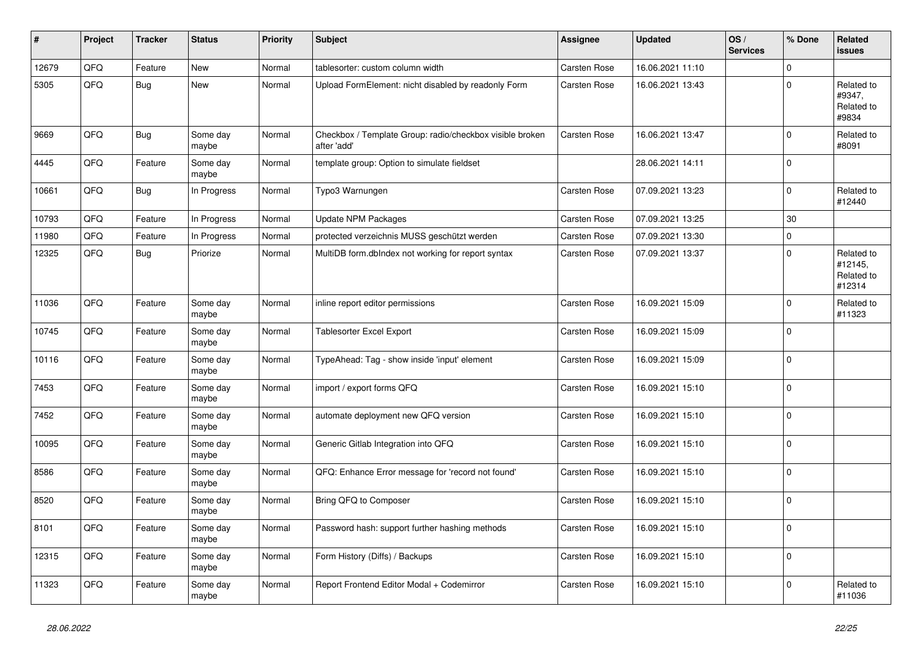| #     | Project | <b>Tracker</b> | <b>Status</b>     | <b>Priority</b> | <b>Subject</b>                                                          | Assignee            | <b>Updated</b>   | OS/<br><b>Services</b> | % Done      | Related<br><b>issues</b>                      |
|-------|---------|----------------|-------------------|-----------------|-------------------------------------------------------------------------|---------------------|------------------|------------------------|-------------|-----------------------------------------------|
| 12679 | QFQ     | Feature        | New               | Normal          | tablesorter: custom column width                                        | <b>Carsten Rose</b> | 16.06.2021 11:10 |                        | $\Omega$    |                                               |
| 5305  | QFQ     | Bug            | New               | Normal          | Upload FormElement: nicht disabled by readonly Form                     | Carsten Rose        | 16.06.2021 13:43 |                        | $\Omega$    | Related to<br>#9347,<br>Related to<br>#9834   |
| 9669  | QFQ     | <b>Bug</b>     | Some day<br>maybe | Normal          | Checkbox / Template Group: radio/checkbox visible broken<br>after 'add' | <b>Carsten Rose</b> | 16.06.2021 13:47 |                        | 0           | Related to<br>#8091                           |
| 4445  | QFQ     | Feature        | Some day<br>maybe | Normal          | template group: Option to simulate fieldset                             |                     | 28.06.2021 14:11 |                        | $\Omega$    |                                               |
| 10661 | QFQ     | Bug            | In Progress       | Normal          | Typo3 Warnungen                                                         | <b>Carsten Rose</b> | 07.09.2021 13:23 |                        | $\Omega$    | Related to<br>#12440                          |
| 10793 | QFQ     | Feature        | In Progress       | Normal          | <b>Update NPM Packages</b>                                              | <b>Carsten Rose</b> | 07.09.2021 13:25 |                        | 30          |                                               |
| 11980 | QFQ     | Feature        | In Progress       | Normal          | protected verzeichnis MUSS geschützt werden                             | <b>Carsten Rose</b> | 07.09.2021 13:30 |                        | $\Omega$    |                                               |
| 12325 | QFQ     | <b>Bug</b>     | Priorize          | Normal          | MultiDB form.dblndex not working for report syntax                      | Carsten Rose        | 07.09.2021 13:37 |                        | $\Omega$    | Related to<br>#12145,<br>Related to<br>#12314 |
| 11036 | QFQ     | Feature        | Some day<br>maybe | Normal          | inline report editor permissions                                        | <b>Carsten Rose</b> | 16.09.2021 15:09 |                        | $\mathbf 0$ | Related to<br>#11323                          |
| 10745 | QFQ     | Feature        | Some day<br>maybe | Normal          | Tablesorter Excel Export                                                | <b>Carsten Rose</b> | 16.09.2021 15:09 |                        | $\Omega$    |                                               |
| 10116 | QFQ     | Feature        | Some day<br>maybe | Normal          | TypeAhead: Tag - show inside 'input' element                            | Carsten Rose        | 16.09.2021 15:09 |                        | $\Omega$    |                                               |
| 7453  | QFQ     | Feature        | Some day<br>maybe | Normal          | import / export forms QFQ                                               | <b>Carsten Rose</b> | 16.09.2021 15:10 |                        | $\Omega$    |                                               |
| 7452  | QFQ     | Feature        | Some day<br>maybe | Normal          | automate deployment new QFQ version                                     | <b>Carsten Rose</b> | 16.09.2021 15:10 |                        | $\Omega$    |                                               |
| 10095 | QFQ     | Feature        | Some day<br>maybe | Normal          | Generic Gitlab Integration into QFQ                                     | <b>Carsten Rose</b> | 16.09.2021 15:10 |                        | $\Omega$    |                                               |
| 8586  | QFQ     | Feature        | Some day<br>maybe | Normal          | QFQ: Enhance Error message for 'record not found'                       | Carsten Rose        | 16.09.2021 15:10 |                        | $\mathbf 0$ |                                               |
| 8520  | QFQ     | Feature        | Some day<br>maybe | Normal          | Bring QFQ to Composer                                                   | <b>Carsten Rose</b> | 16.09.2021 15:10 |                        | $\Omega$    |                                               |
| 8101  | QFQ     | Feature        | Some day<br>maybe | Normal          | Password hash: support further hashing methods                          | Carsten Rose        | 16.09.2021 15:10 |                        | $\Omega$    |                                               |
| 12315 | QFQ     | Feature        | Some day<br>maybe | Normal          | Form History (Diffs) / Backups                                          | <b>Carsten Rose</b> | 16.09.2021 15:10 |                        | $\Omega$    |                                               |
| 11323 | QFQ     | Feature        | Some day<br>maybe | Normal          | Report Frontend Editor Modal + Codemirror                               | <b>Carsten Rose</b> | 16.09.2021 15:10 |                        | $\Omega$    | Related to<br>#11036                          |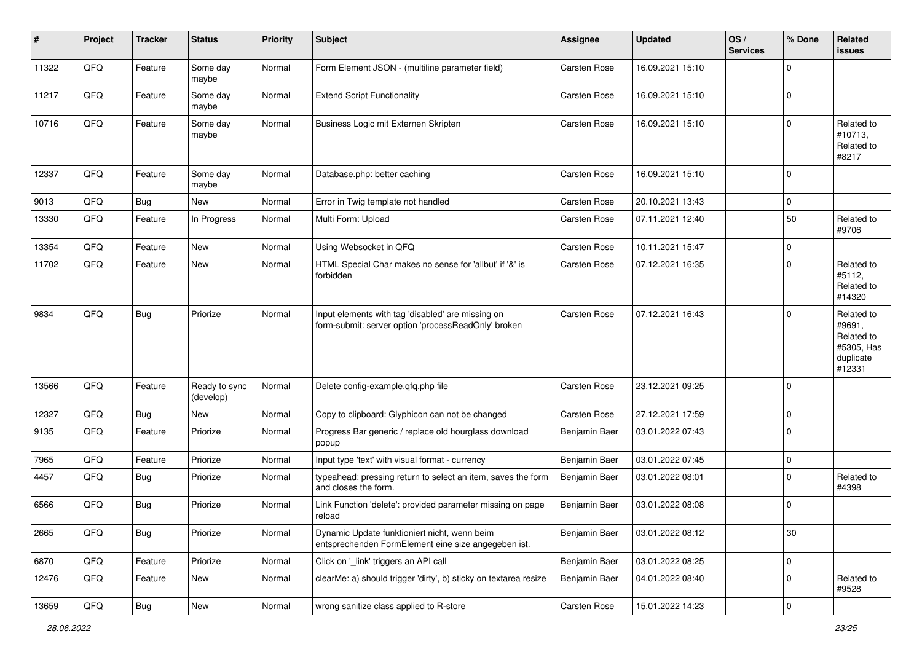| #     | Project | <b>Tracker</b> | <b>Status</b>              | <b>Priority</b> | <b>Subject</b>                                                                                           | <b>Assignee</b>     | <b>Updated</b>   | OS/<br><b>Services</b> | % Done      | Related<br>issues                                                       |
|-------|---------|----------------|----------------------------|-----------------|----------------------------------------------------------------------------------------------------------|---------------------|------------------|------------------------|-------------|-------------------------------------------------------------------------|
| 11322 | QFQ     | Feature        | Some day<br>maybe          | Normal          | Form Element JSON - (multiline parameter field)                                                          | <b>Carsten Rose</b> | 16.09.2021 15:10 |                        | $\Omega$    |                                                                         |
| 11217 | QFQ     | Feature        | Some day<br>maybe          | Normal          | <b>Extend Script Functionality</b>                                                                       | <b>Carsten Rose</b> | 16.09.2021 15:10 |                        | 0           |                                                                         |
| 10716 | QFQ     | Feature        | Some day<br>maybe          | Normal          | Business Logic mit Externen Skripten                                                                     | Carsten Rose        | 16.09.2021 15:10 |                        | $\Omega$    | Related to<br>#10713,<br>Related to<br>#8217                            |
| 12337 | QFQ     | Feature        | Some day<br>maybe          | Normal          | Database.php: better caching                                                                             | <b>Carsten Rose</b> | 16.09.2021 15:10 |                        | 0           |                                                                         |
| 9013  | QFQ     | <b>Bug</b>     | New                        | Normal          | Error in Twig template not handled                                                                       | <b>Carsten Rose</b> | 20.10.2021 13:43 |                        | $\mathbf 0$ |                                                                         |
| 13330 | QFQ     | Feature        | In Progress                | Normal          | Multi Form: Upload                                                                                       | Carsten Rose        | 07.11.2021 12:40 |                        | 50          | Related to<br>#9706                                                     |
| 13354 | QFQ     | Feature        | New                        | Normal          | Using Websocket in QFQ                                                                                   | <b>Carsten Rose</b> | 10.11.2021 15:47 |                        | $\mathbf 0$ |                                                                         |
| 11702 | QFQ     | Feature        | New                        | Normal          | HTML Special Char makes no sense for 'allbut' if '&' is<br>forbidden                                     | <b>Carsten Rose</b> | 07.12.2021 16:35 |                        | $\Omega$    | Related to<br>#5112,<br>Related to<br>#14320                            |
| 9834  | QFQ     | <b>Bug</b>     | Priorize                   | Normal          | Input elements with tag 'disabled' are missing on<br>form-submit: server option 'processReadOnly' broken | <b>Carsten Rose</b> | 07.12.2021 16:43 |                        | $\Omega$    | Related to<br>#9691,<br>Related to<br>#5305, Has<br>duplicate<br>#12331 |
| 13566 | QFQ     | Feature        | Ready to sync<br>(develop) | Normal          | Delete config-example.qfq.php file                                                                       | Carsten Rose        | 23.12.2021 09:25 |                        | $\Omega$    |                                                                         |
| 12327 | QFQ     | Bug            | New                        | Normal          | Copy to clipboard: Glyphicon can not be changed                                                          | Carsten Rose        | 27.12.2021 17:59 |                        | $\mathbf 0$ |                                                                         |
| 9135  | QFQ     | Feature        | Priorize                   | Normal          | Progress Bar generic / replace old hourglass download<br>popup                                           | Benjamin Baer       | 03.01.2022 07:43 |                        | $\Omega$    |                                                                         |
| 7965  | QFQ     | Feature        | Priorize                   | Normal          | Input type 'text' with visual format - currency                                                          | Benjamin Baer       | 03.01.2022 07:45 |                        | $\mathbf 0$ |                                                                         |
| 4457  | QFQ     | Bug            | Priorize                   | Normal          | typeahead: pressing return to select an item, saves the form<br>and closes the form.                     | Benjamin Baer       | 03.01.2022 08:01 |                        | $\Omega$    | Related to<br>#4398                                                     |
| 6566  | QFQ     | <b>Bug</b>     | Priorize                   | Normal          | Link Function 'delete': provided parameter missing on page<br>reload                                     | Benjamin Baer       | 03.01.2022 08:08 |                        | $\Omega$    |                                                                         |
| 2665  | QFG     | <b>Bug</b>     | Priorize                   | Normal          | Dynamic Update funktioniert nicht, wenn beim<br>entsprechenden FormElement eine size angegeben ist.      | Benjamin Baer       | 03.01.2022 08:12 |                        | 30          |                                                                         |
| 6870  | QFG     | Feature        | Priorize                   | Normal          | Click on '_link' triggers an API call                                                                    | Benjamin Baer       | 03.01.2022 08:25 |                        | 0           |                                                                         |
| 12476 | QFQ     | Feature        | New                        | Normal          | clearMe: a) should trigger 'dirty', b) sticky on textarea resize                                         | Benjamin Baer       | 04.01.2022 08:40 |                        | $\mathbf 0$ | Related to<br>#9528                                                     |
| 13659 | QFG     | <b>Bug</b>     | New                        | Normal          | wrong sanitize class applied to R-store                                                                  | Carsten Rose        | 15.01.2022 14:23 |                        | 0           |                                                                         |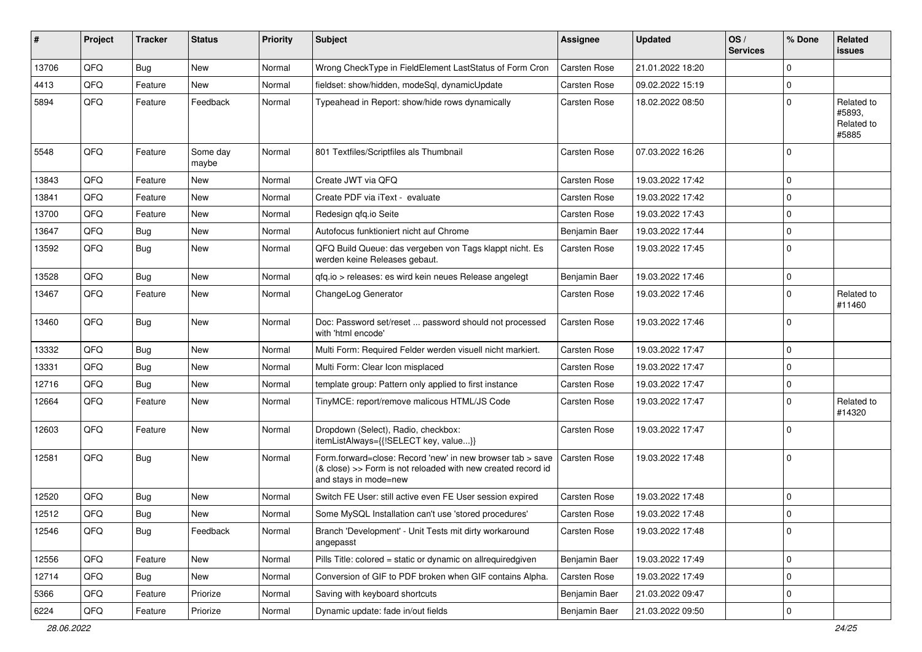| ∦     | Project | <b>Tracker</b> | <b>Status</b>     | <b>Priority</b> | <b>Subject</b>                                                                                                                                      | <b>Assignee</b>     | <b>Updated</b>   | OS/<br><b>Services</b> | % Done      | Related<br>issues                           |
|-------|---------|----------------|-------------------|-----------------|-----------------------------------------------------------------------------------------------------------------------------------------------------|---------------------|------------------|------------------------|-------------|---------------------------------------------|
| 13706 | QFQ     | Bug            | New               | Normal          | Wrong CheckType in FieldElement LastStatus of Form Cron                                                                                             | <b>Carsten Rose</b> | 21.01.2022 18:20 |                        | 0           |                                             |
| 4413  | QFQ     | Feature        | <b>New</b>        | Normal          | fieldset: show/hidden, modeSql, dynamicUpdate                                                                                                       | <b>Carsten Rose</b> | 09.02.2022 15:19 |                        | $\mathbf 0$ |                                             |
| 5894  | QFQ     | Feature        | Feedback          | Normal          | Typeahead in Report: show/hide rows dynamically                                                                                                     | Carsten Rose        | 18.02.2022 08:50 |                        | $\mathbf 0$ | Related to<br>#5893,<br>Related to<br>#5885 |
| 5548  | QFQ     | Feature        | Some day<br>maybe | Normal          | 801 Textfiles/Scriptfiles als Thumbnail                                                                                                             | <b>Carsten Rose</b> | 07.03.2022 16:26 |                        | $\mathbf 0$ |                                             |
| 13843 | QFQ     | Feature        | <b>New</b>        | Normal          | Create JWT via QFQ                                                                                                                                  | Carsten Rose        | 19.03.2022 17:42 |                        | $\mathbf 0$ |                                             |
| 13841 | QFQ     | Feature        | New               | Normal          | Create PDF via iText - evaluate                                                                                                                     | Carsten Rose        | 19.03.2022 17:42 |                        | $\mathbf 0$ |                                             |
| 13700 | QFQ     | Feature        | New               | Normal          | Redesign qfq.io Seite                                                                                                                               | Carsten Rose        | 19.03.2022 17:43 |                        | $\mathbf 0$ |                                             |
| 13647 | QFQ     | Bug            | New               | Normal          | Autofocus funktioniert nicht auf Chrome                                                                                                             | Benjamin Baer       | 19.03.2022 17:44 |                        | $\mathbf 0$ |                                             |
| 13592 | QFQ     | <b>Bug</b>     | New               | Normal          | QFQ Build Queue: das vergeben von Tags klappt nicht. Es<br>werden keine Releases gebaut.                                                            | Carsten Rose        | 19.03.2022 17:45 |                        | $\Omega$    |                                             |
| 13528 | QFQ     | <b>Bug</b>     | <b>New</b>        | Normal          | qfq.io > releases: es wird kein neues Release angelegt                                                                                              | Benjamin Baer       | 19.03.2022 17:46 |                        | $\mathbf 0$ |                                             |
| 13467 | QFQ     | Feature        | New               | Normal          | ChangeLog Generator                                                                                                                                 | Carsten Rose        | 19.03.2022 17:46 |                        | 0           | Related to<br>#11460                        |
| 13460 | QFQ     | <b>Bug</b>     | New               | Normal          | Doc: Password set/reset  password should not processed<br>with 'html encode'                                                                        | Carsten Rose        | 19.03.2022 17:46 |                        | $\Omega$    |                                             |
| 13332 | QFQ     | <b>Bug</b>     | <b>New</b>        | Normal          | Multi Form: Required Felder werden visuell nicht markiert.                                                                                          | <b>Carsten Rose</b> | 19.03.2022 17:47 |                        | $\mathbf 0$ |                                             |
| 13331 | QFQ     | <b>Bug</b>     | New               | Normal          | Multi Form: Clear Icon misplaced                                                                                                                    | <b>Carsten Rose</b> | 19.03.2022 17:47 |                        | $\mathbf 0$ |                                             |
| 12716 | QFQ     | Bug            | New               | Normal          | template group: Pattern only applied to first instance                                                                                              | Carsten Rose        | 19.03.2022 17:47 |                        | $\mathbf 0$ |                                             |
| 12664 | QFQ     | Feature        | New               | Normal          | TinyMCE: report/remove malicous HTML/JS Code                                                                                                        | Carsten Rose        | 19.03.2022 17:47 |                        | $\mathbf 0$ | Related to<br>#14320                        |
| 12603 | QFQ     | Feature        | New               | Normal          | Dropdown (Select), Radio, checkbox:<br>itemListAlways={{!SELECT key, value}}                                                                        | Carsten Rose        | 19.03.2022 17:47 |                        | $\mathbf 0$ |                                             |
| 12581 | QFQ     | <b>Bug</b>     | New               | Normal          | Form.forward=close: Record 'new' in new browser tab > save<br>(& close) >> Form is not reloaded with new created record id<br>and stays in mode=new | Carsten Rose        | 19.03.2022 17:48 |                        | $\mathbf 0$ |                                             |
| 12520 | QFQ     | Bug            | <b>New</b>        | Normal          | Switch FE User: still active even FE User session expired                                                                                           | Carsten Rose        | 19.03.2022 17:48 |                        | $\mathbf 0$ |                                             |
| 12512 | QFQ     | <b>Bug</b>     | New               | Normal          | Some MySQL Installation can't use 'stored procedures'                                                                                               | Carsten Rose        | 19.03.2022 17:48 |                        | $\mathbf 0$ |                                             |
| 12546 | QFQ     | <b>Bug</b>     | Feedback          | Normal          | Branch 'Development' - Unit Tests mit dirty workaround<br>angepasst                                                                                 | Carsten Rose        | 19.03.2022 17:48 |                        | $\mathbf 0$ |                                             |
| 12556 | QFQ     | Feature        | New               | Normal          | Pills Title: colored = static or dynamic on allrequiredgiven                                                                                        | Benjamin Baer       | 19.03.2022 17:49 |                        | 0           |                                             |
| 12714 | QFQ     | <b>Bug</b>     | New               | Normal          | Conversion of GIF to PDF broken when GIF contains Alpha.                                                                                            | Carsten Rose        | 19.03.2022 17:49 |                        | 0           |                                             |
| 5366  | QFQ     | Feature        | Priorize          | Normal          | Saving with keyboard shortcuts                                                                                                                      | Benjamin Baer       | 21.03.2022 09:47 |                        | 0           |                                             |
| 6224  | QFQ     | Feature        | Priorize          | Normal          | Dynamic update: fade in/out fields                                                                                                                  | Benjamin Baer       | 21.03.2022 09:50 |                        | 0           |                                             |